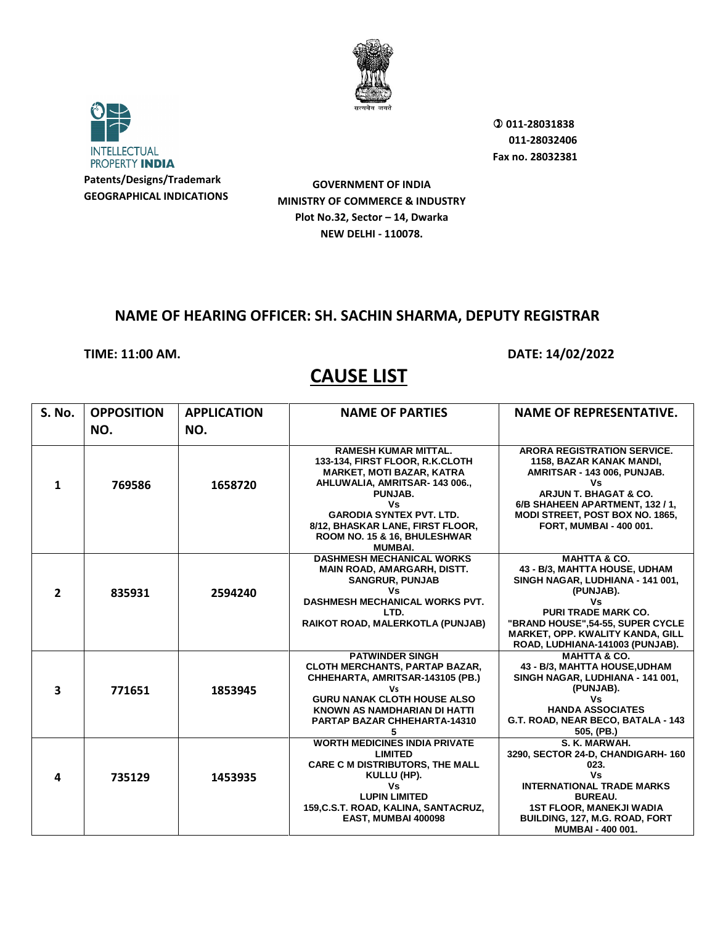



 **011-28031838 011-28032406 Fax no. 28032381**

**GOVERNMENT OF INDIA MINISTRY OF COMMERCE & INDUSTRY Plot No.32, Sector – 14, Dwarka NEW DELHI - 110078.**

### **NAME OF HEARING OFFICER: SH. SACHIN SHARMA, DEPUTY REGISTRAR**

#### **TIME: 11:00 AM. DATE: 14/02/2022**

| <b>S. No.</b> | <b>OPPOSITION</b> | <b>APPLICATION</b> | <b>NAME OF PARTIES</b>                                                                                                                                                                                                                                                       | <b>NAME OF REPRESENTATIVE.</b>                                                                                                                                                                                                                                   |
|---------------|-------------------|--------------------|------------------------------------------------------------------------------------------------------------------------------------------------------------------------------------------------------------------------------------------------------------------------------|------------------------------------------------------------------------------------------------------------------------------------------------------------------------------------------------------------------------------------------------------------------|
|               | NO.               | NO.                |                                                                                                                                                                                                                                                                              |                                                                                                                                                                                                                                                                  |
| 1             | 769586            | 1658720            | <b>RAMESH KUMAR MITTAL.</b><br>133-134, FIRST FLOOR, R.K.CLOTH<br><b>MARKET, MOTI BAZAR, KATRA</b><br>AHLUWALIA, AMRITSAR-143006.,<br>PUNJAB.<br>Vs<br><b>GARODIA SYNTEX PVT. LTD.</b><br>8/12, BHASKAR LANE, FIRST FLOOR,<br>ROOM NO. 15 & 16, BHULESHWAR<br><b>MUMBAI.</b> | <b>ARORA REGISTRATION SERVICE.</b><br>1158, BAZAR KANAK MANDI,<br>AMRITSAR - 143 006, PUNJAB.<br>٧s<br>ARJUN T. BHAGAT & CO.<br>6/B SHAHEEN APARTMENT, 132 / 1,<br><b>MODI STREET, POST BOX NO. 1865,</b><br>FORT, MUMBAI - 400 001.                             |
| $\mathbf{z}$  | 835931            | 2594240            | <b>DASHMESH MECHANICAL WORKS</b><br><b>MAIN ROAD, AMARGARH, DISTT.</b><br><b>SANGRUR, PUNJAB</b><br>Vs<br><b>DASHMESH MECHANICAL WORKS PVT.</b><br>LTD.<br>RAIKOT ROAD, MALERKOTLA (PUNJAB)                                                                                  | <b>MAHTTA &amp; CO.</b><br>43 - B/3, MAHTTA HOUSE, UDHAM<br>SINGH NAGAR, LUDHIANA - 141 001,<br>(PUNJAB).<br>Vs<br><b>PURI TRADE MARK CO.</b><br>"BRAND HOUSE", 54-55, SUPER CYCLE<br><b>MARKET, OPP. KWALITY KANDA, GILL</b><br>ROAD, LUDHIANA-141003 (PUNJAB). |
| 3             | 771651            | 1853945            | <b>PATWINDER SINGH</b><br><b>CLOTH MERCHANTS, PARTAP BAZAR,</b><br>CHHEHARTA, AMRITSAR-143105 (PB.)<br>Vs<br><b>GURU NANAK CLOTH HOUSE ALSO</b><br>KNOWN AS NAMDHARIAN DI HATTI<br><b>PARTAP BAZAR CHHEHARTA-14310</b><br>5                                                  | <b>MAHTTA &amp; CO.</b><br>43 - B/3, MAHTTA HOUSE, UDHAM<br>SINGH NAGAR, LUDHIANA - 141 001,<br>(PUNJAB).<br>Vs<br><b>HANDA ASSOCIATES</b><br>G.T. ROAD, NEAR BECO, BATALA - 143<br>505, (PB.)                                                                   |
| 4             | 735129            | 1453935            | <b>WORTH MEDICINES INDIA PRIVATE</b><br><b>LIMITED</b><br><b>CARE C M DISTRIBUTORS, THE MALL</b><br>KULLU (HP).<br>Vs<br><b>LUPIN LIMITED</b><br>159, C.S.T. ROAD, KALINA, SANTACRUZ,<br>EAST, MUMBAI 400098                                                                 | S. K. MARWAH.<br>3290, SECTOR 24-D, CHANDIGARH-160<br>023.<br>Vs<br><b>INTERNATIONAL TRADE MARKS</b><br><b>BUREAU.</b><br><b>1ST FLOOR, MANEKJI WADIA</b><br>BUILDING, 127, M.G. ROAD, FORT<br><b>MUMBAI - 400 001.</b>                                          |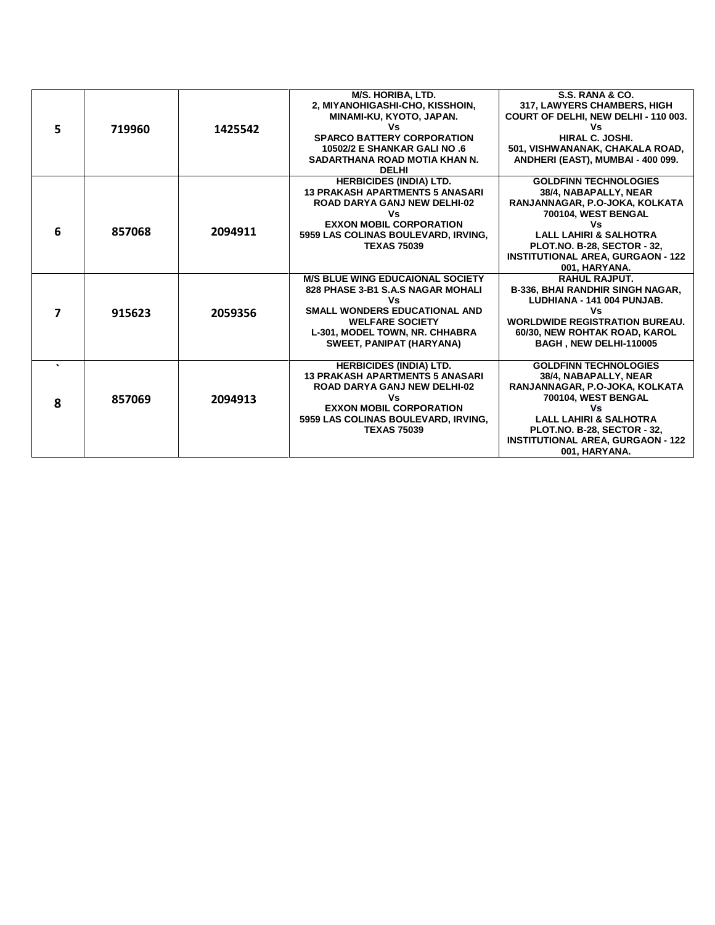|    |        |         | <b>M/S. HORIBA. LTD.</b><br>2, MIYANOHIGASHI-CHO, KISSHOIN, | S.S. RANA & CO.<br>317, LAWYERS CHAMBERS, HIGH |
|----|--------|---------|-------------------------------------------------------------|------------------------------------------------|
|    |        |         | MINAMI-KU, KYOTO, JAPAN.                                    | COURT OF DELHI, NEW DELHI - 110 003.           |
| 5. | 719960 | 1425542 | Vs                                                          | Vs                                             |
|    |        |         | <b>SPARCO BATTERY CORPORATION</b>                           | HIRAL C. JOSHI.                                |
|    |        |         | 10502/2 E SHANKAR GALI NO .6                                | 501, VISHWANANAK, CHAKALA ROAD,                |
|    |        |         | SADARTHANA ROAD MOTIA KHAN N.                               | ANDHERI (EAST), MUMBAI - 400 099.              |
|    |        |         | <b>DELHI</b>                                                |                                                |
|    |        |         | <b>HERBICIDES (INDIA) LTD.</b>                              | <b>GOLDFINN TECHNOLOGIES</b>                   |
|    |        |         | <b>13 PRAKASH APARTMENTS 5 ANASARI</b>                      | 38/4. NABAPALLY, NEAR                          |
|    |        |         | <b>ROAD DARYA GANJ NEW DELHI-02</b>                         | RANJANNAGAR, P.O-JOKA, KOLKATA                 |
|    |        |         | ٧s                                                          | 700104, WEST BENGAL                            |
|    |        |         | <b>EXXON MOBIL CORPORATION</b>                              | Vs                                             |
| 6  | 857068 | 2094911 | 5959 LAS COLINAS BOULEVARD, IRVING,                         | <b>LALL LAHIRI &amp; SALHOTRA</b>              |
|    |        |         | <b>TEXAS 75039</b>                                          | <b>PLOT.NO. B-28, SECTOR - 32,</b>             |
|    |        |         |                                                             | <b>INSTITUTIONAL AREA, GURGAON - 122</b>       |
|    |        |         |                                                             | 001, HARYANA.                                  |
|    |        |         | <b>M/S BLUE WING EDUCAIONAL SOCIETY</b>                     | <b>RAHUL RAJPUT.</b>                           |
|    |        |         | 828 PHASE 3-B1 S.A.S NAGAR MOHALI                           | <b>B-336, BHAI RANDHIR SINGH NAGAR,</b>        |
|    |        |         | Vs                                                          | LUDHIANA - 141 004 PUNJAB.                     |
| 7  | 915623 | 2059356 | <b>SMALL WONDERS EDUCATIONAL AND</b>                        | Vs                                             |
|    |        |         | <b>WELFARE SOCIETY</b>                                      | <b>WORLDWIDE REGISTRATION BUREAU.</b>          |
|    |        |         | L-301, MODEL TOWN, NR. CHHABRA                              | 60/30, NEW ROHTAK ROAD, KAROL                  |
|    |        |         | <b>SWEET, PANIPAT (HARYANA)</b>                             | BAGH, NEW DELHI-110005                         |
|    |        |         |                                                             |                                                |
|    |        |         | <b>HERBICIDES (INDIA) LTD.</b>                              | <b>GOLDFINN TECHNOLOGIES</b>                   |
|    |        |         | <b>13 PRAKASH APARTMENTS 5 ANASARI</b>                      | 38/4, NABAPALLY, NEAR                          |
|    |        |         | <b>ROAD DARYA GANJ NEW DELHI-02</b>                         | RANJANNAGAR, P.O-JOKA, KOLKATA                 |
| 8  | 857069 | 2094913 | Vs                                                          | 700104, WEST BENGAL                            |
|    |        |         | <b>EXXON MOBIL CORPORATION</b>                              | Vs                                             |
|    |        |         | 5959 LAS COLINAS BOULEVARD, IRVING,                         | <b>LALL LAHIRI &amp; SALHOTRA</b>              |
|    |        |         | <b>TEXAS 75039</b>                                          | <b>PLOT.NO. B-28, SECTOR - 32,</b>             |
|    |        |         |                                                             | <b>INSTITUTIONAL AREA, GURGAON - 122</b>       |
|    |        |         |                                                             | 001, HARYANA.                                  |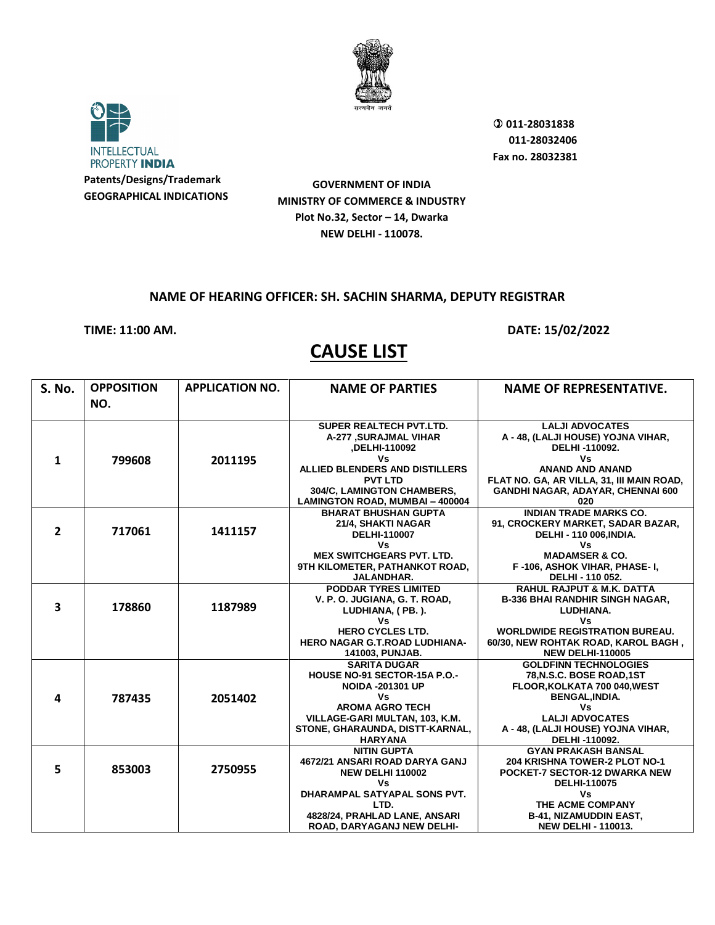



 **011-28031838 011-28032406 Fax no. 28032381**

**GOVERNMENT OF INDIA MINISTRY OF COMMERCE & INDUSTRY Plot No.32, Sector – 14, Dwarka NEW DELHI - 110078.**

#### **NAME OF HEARING OFFICER: SH. SACHIN SHARMA, DEPUTY REGISTRAR**

**TIME: 11:00 AM. DATE: 15/02/2022** 

| <b>S. No.</b> | <b>OPPOSITION</b><br>NO. | <b>APPLICATION NO.</b> | <b>NAME OF PARTIES</b>                                                                                                                                                                                             | <b>NAME OF REPRESENTATIVE.</b>                                                                                                                                                                               |
|---------------|--------------------------|------------------------|--------------------------------------------------------------------------------------------------------------------------------------------------------------------------------------------------------------------|--------------------------------------------------------------------------------------------------------------------------------------------------------------------------------------------------------------|
| $\mathbf{1}$  | 799608                   | 2011195                | <b>SUPER REALTECH PVT.LTD.</b><br>A-277 , SURAJMAL VIHAR<br>,DELHI-110092<br>٧s<br><b>ALLIED BLENDERS AND DISTILLERS</b><br><b>PVT LTD</b><br>304/C, LAMINGTON CHAMBERS,<br><b>LAMINGTON ROAD, MUMBAI - 400004</b> | <b>LALJI ADVOCATES</b><br>A - 48, (LALJI HOUSE) YOJNA VIHAR,<br>DELHI-110092.<br>٧s<br><b>ANAND AND ANAND</b><br>FLAT NO. GA, AR VILLA, 31, III MAIN ROAD,<br>GANDHI NAGAR, ADAYAR, CHENNAI 600<br>020       |
| $\mathbf{2}$  | 717061                   | 1411157                | <b>BHARAT BHUSHAN GUPTA</b><br>21/4, SHAKTI NAGAR<br><b>DELHI-110007</b><br>Vs<br><b>MEX SWITCHGEARS PVT. LTD.</b><br>9TH KILOMETER, PATHANKOT ROAD,<br>JALANDHAR.                                                 | <b>INDIAN TRADE MARKS CO.</b><br>91, CROCKERY MARKET, SADAR BAZAR,<br>DELHI - 110 006, INDIA.<br>Vs<br><b>MADAMSER &amp; CO.</b><br>F-106, ASHOK VIHAR, PHASE-I,<br>DELHI - 110 052.                         |
| 3             | 178860                   | 1187989                | <b>PODDAR TYRES LIMITED</b><br>V. P. O. JUGIANA, G. T. ROAD,<br>LUDHIANA, (PB.).<br>Vs<br><b>HERO CYCLES LTD.</b><br><b>HERO NAGAR G.T.ROAD LUDHIANA-</b><br>141003, PUNJAB.                                       | <b>RAHUL RAJPUT &amp; M.K. DATTA</b><br><b>B-336 BHAI RANDHIR SINGH NAGAR.</b><br>LUDHIANA.<br>٧s<br><b>WORLDWIDE REGISTRATION BUREAU.</b><br>60/30, NEW ROHTAK ROAD, KAROL BAGH,<br><b>NEW DELHI-110005</b> |
| 4             | 787435                   | 2051402                | <b>SARITA DUGAR</b><br><b>HOUSE NO-91 SECTOR-15A P.O.-</b><br><b>NOIDA -201301 UP</b><br>Vs<br><b>AROMA AGRO TECH</b><br>VILLAGE-GARI MULTAN, 103, K.M.<br>STONE, GHARAUNDA, DISTT-KARNAL,<br><b>HARYANA</b>       | <b>GOLDFINN TECHNOLOGIES</b><br>78, N.S.C. BOSE ROAD, 1ST<br>FLOOR, KOLKATA 700 040, WEST<br><b>BENGAL, INDIA.</b><br>Vs<br><b>LALJI ADVOCATES</b><br>A - 48, (LALJI HOUSE) YOJNA VIHAR,<br>DELHI-110092.    |
| 5             | 853003                   | 2750955                | <b>NITIN GUPTA</b><br>4672/21 ANSARI ROAD DARYA GANJ<br><b>NEW DELHI 110002</b><br>Vs<br>DHARAMPAL SATYAPAL SONS PVT.<br>LTD.<br>4828/24, PRAHLAD LANE, ANSARI<br>ROAD, DARYAGANJ NEW DELHI-                       | <b>GYAN PRAKASH BANSAL</b><br>204 KRISHNA TOWER-2 PLOT NO-1<br>POCKET-7 SECTOR-12 DWARKA NEW<br>DELHI-110075<br>٧s<br>THE ACME COMPANY<br><b>B-41, NIZAMUDDIN EAST,</b><br><b>NEW DELHI - 110013.</b>        |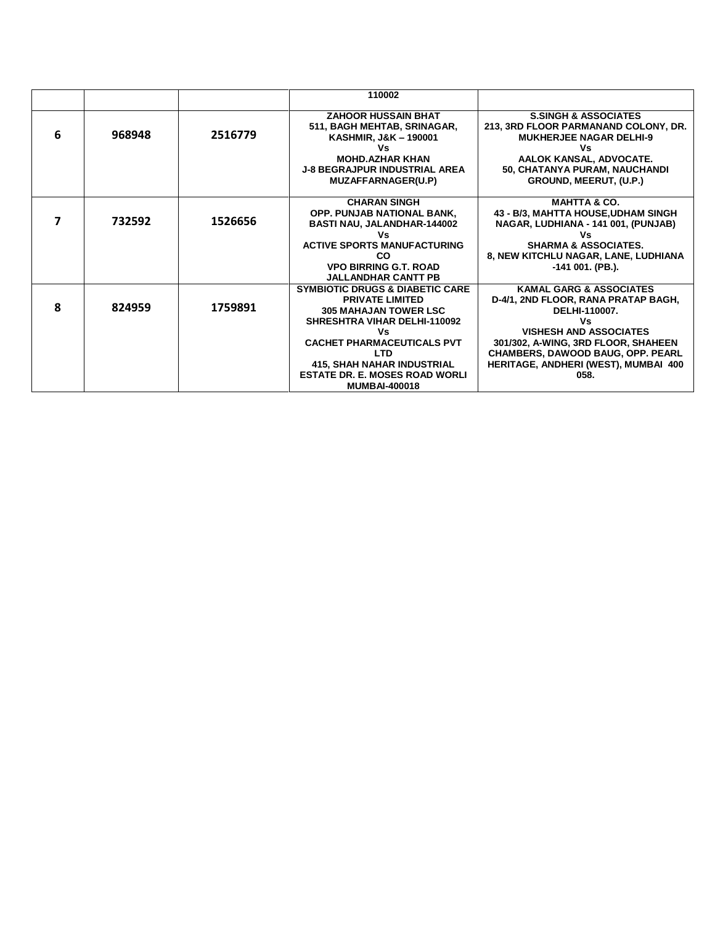|   |        |         | 110002                                                                                                                                                                                                                                                                                                     |                                                                                                                                                                                                                                                                       |
|---|--------|---------|------------------------------------------------------------------------------------------------------------------------------------------------------------------------------------------------------------------------------------------------------------------------------------------------------------|-----------------------------------------------------------------------------------------------------------------------------------------------------------------------------------------------------------------------------------------------------------------------|
| 6 | 968948 | 2516779 | <b>ZAHOOR HUSSAIN BHAT</b><br>511, BAGH MEHTAB, SRINAGAR,<br>KASHMIR, J&K - 190001<br>Vs<br><b>MOHD.AZHAR KHAN</b><br><b>J-8 BEGRAJPUR INDUSTRIAL AREA</b><br><b>MUZAFFARNAGER(U.P)</b>                                                                                                                    | <b>S.SINGH &amp; ASSOCIATES</b><br>213, 3RD FLOOR PARMANAND COLONY, DR.<br><b>MUKHERJEE NAGAR DELHI-9</b><br>Vs<br>AALOK KANSAL, ADVOCATE.<br>50, CHATANYA PURAM, NAUCHANDI<br>GROUND, MEERUT, (U.P.)                                                                 |
|   | 732592 | 1526656 | <b>CHARAN SINGH</b><br><b>OPP. PUNJAB NATIONAL BANK,</b><br><b>BASTI NAU, JALANDHAR-144002</b><br>٧s<br><b>ACTIVE SPORTS MANUFACTURING</b><br>CO<br><b>VPO BIRRING G.T. ROAD</b><br><b>JALLANDHAR CANTT PB</b>                                                                                             | <b>MAHTTA &amp; CO.</b><br>43 - B/3, MAHTTA HOUSE, UDHAM SINGH<br>NAGAR, LUDHIANA - 141 001, (PUNJAB)<br>٧s<br><b>SHARMA &amp; ASSOCIATES.</b><br>8, NEW KITCHLU NAGAR, LANE, LUDHIANA<br>-141 001. (PB.).                                                            |
| 8 | 824959 | 1759891 | <b>SYMBIOTIC DRUGS &amp; DIABETIC CARE</b><br><b>PRIVATE LIMITED</b><br><b>305 MAHAJAN TOWER LSC</b><br><b>SHRESHTRA VIHAR DELHI-110092</b><br>Vs<br><b>CACHET PHARMACEUTICALS PVT</b><br><b>LTD</b><br><b>415, SHAH NAHAR INDUSTRIAL</b><br><b>ESTATE DR. E. MOSES ROAD WORLI</b><br><b>MUMBAI-400018</b> | <b>KAMAL GARG &amp; ASSOCIATES</b><br>D-4/1, 2ND FLOOR, RANA PRATAP BAGH,<br><b>DELHI-110007.</b><br>Vs<br><b>VISHESH AND ASSOCIATES</b><br>301/302, A-WING, 3RD FLOOR, SHAHEEN<br>CHAMBERS, DAWOOD BAUG, OPP. PEARL<br>HERITAGE, ANDHERI (WEST), MUMBAI  400<br>058. |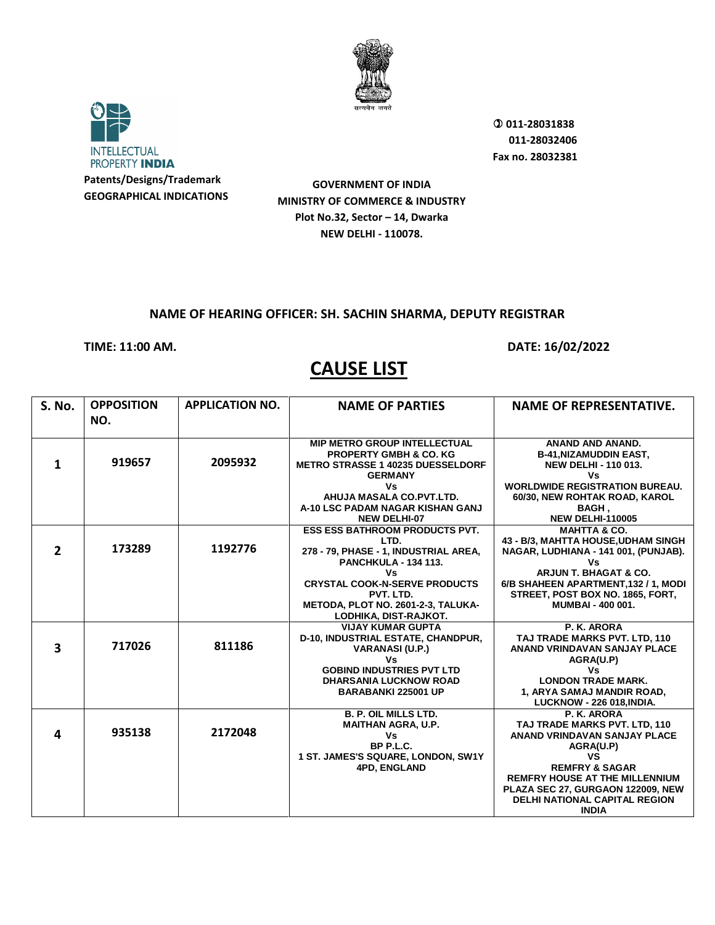



 **011-28031838 011-28032406 Fax no. 28032381**

**GOVERNMENT OF INDIA MINISTRY OF COMMERCE & INDUSTRY Plot No.32, Sector – 14, Dwarka NEW DELHI - 110078.**

#### **NAME OF HEARING OFFICER: SH. SACHIN SHARMA, DEPUTY REGISTRAR**

**TIME: 11:00 AM. DATE: 16/02/2022** 

| <b>S. No.</b>  | <b>OPPOSITION</b> | <b>APPLICATION NO.</b> | <b>NAME OF PARTIES</b>                                                        | <b>NAME OF REPRESENTATIVE.</b>                               |
|----------------|-------------------|------------------------|-------------------------------------------------------------------------------|--------------------------------------------------------------|
|                | NO.               |                        |                                                                               |                                                              |
|                |                   |                        | <b>MIP METRO GROUP INTELLECTUAL</b>                                           | ANAND AND ANAND.                                             |
| 1              | 919657            | 2095932                | <b>PROPERTY GMBH &amp; CO. KG</b><br><b>METRO STRASSE 1 40235 DUESSELDORF</b> | <b>B-41, NIZAMUDDIN EAST,</b><br><b>NEW DELHI - 110 013.</b> |
|                |                   |                        | <b>GERMANY</b>                                                                | Vs                                                           |
|                |                   |                        | Vs                                                                            | <b>WORLDWIDE REGISTRATION BUREAU.</b>                        |
|                |                   |                        | AHUJA MASALA CO.PVT.LTD.                                                      | 60/30, NEW ROHTAK ROAD, KAROL                                |
|                |                   |                        | A-10 LSC PADAM NAGAR KISHAN GANJ                                              | <b>BAGH,</b>                                                 |
|                |                   |                        | <b>NEW DELHI-07</b>                                                           | <b>NEW DELHI-110005</b>                                      |
|                |                   |                        | <b>ESS ESS BATHROOM PRODUCTS PVT.</b>                                         | <b>MAHTTA &amp; CO.</b>                                      |
| $\overline{2}$ | 173289            | 1192776                | LTD.                                                                          | 43 - B/3, MAHTTA HOUSE, UDHAM SINGH                          |
|                |                   |                        | 278 - 79, PHASE - 1, INDUSTRIAL AREA,                                         | NAGAR, LUDHIANA - 141 001, (PUNJAB).                         |
|                |                   |                        | <b>PANCHKULA - 134 113.</b><br>Vs                                             | ٧s<br><b>ARJUN T. BHAGAT &amp; CO.</b>                       |
|                |                   |                        | <b>CRYSTAL COOK-N-SERVE PRODUCTS</b>                                          | 6/B SHAHEEN APARTMENT, 132 / 1, MODI                         |
|                |                   |                        | PVT. LTD.                                                                     | STREET, POST BOX NO. 1865, FORT,                             |
|                |                   |                        | METODA, PLOT NO. 2601-2-3, TALUKA-                                            | <b>MUMBAI - 400 001.</b>                                     |
|                |                   |                        | LODHIKA, DIST-RAJKOT.                                                         |                                                              |
|                |                   |                        | <b>VIJAY KUMAR GUPTA</b>                                                      | P. K. ARORA                                                  |
|                |                   |                        | D-10, INDUSTRIAL ESTATE, CHANDPUR,                                            | TAJ TRADE MARKS PVT. LTD. 110                                |
| 3              | 717026            | 811186                 | <b>VARANASI (U.P.)</b>                                                        | <b>ANAND VRINDAVAN SANJAY PLACE</b>                          |
|                |                   |                        | Vs                                                                            | AGRA(U.P)                                                    |
|                |                   |                        | <b>GOBIND INDUSTRIES PVT LTD</b>                                              | Vs                                                           |
|                |                   |                        | <b>DHARSANIA LUCKNOW ROAD</b>                                                 | <b>LONDON TRADE MARK.</b>                                    |
|                |                   |                        | <b>BARABANKI 225001 UP</b>                                                    | 1, ARYA SAMAJ MANDIR ROAD,                                   |
|                |                   |                        | <b>B. P. OIL MILLS LTD.</b>                                                   | <b>LUCKNOW - 226 018, INDIA.</b><br>P. K. ARORA              |
|                |                   |                        | <b>MAITHAN AGRA, U.P.</b>                                                     | TAJ TRADE MARKS PVT. LTD, 110                                |
| 4              | 935138            | 2172048                | Vs                                                                            | <b>ANAND VRINDAVAN SANJAY PLACE</b>                          |
|                |                   |                        | BP P.L.C.                                                                     | AGRA(U.P)                                                    |
|                |                   |                        | 1 ST. JAMES'S SQUARE, LONDON, SW1Y                                            | <b>VS</b>                                                    |
|                |                   |                        | <b>4PD, ENGLAND</b>                                                           | <b>REMFRY &amp; SAGAR</b>                                    |
|                |                   |                        |                                                                               | <b>REMFRY HOUSE AT THE MILLENNIUM</b>                        |
|                |                   |                        |                                                                               | PLAZA SEC 27, GURGAON 122009, NEW                            |
|                |                   |                        |                                                                               | <b>DELHI NATIONAL CAPITAL REGION</b>                         |
|                |                   |                        |                                                                               | <b>INDIA</b>                                                 |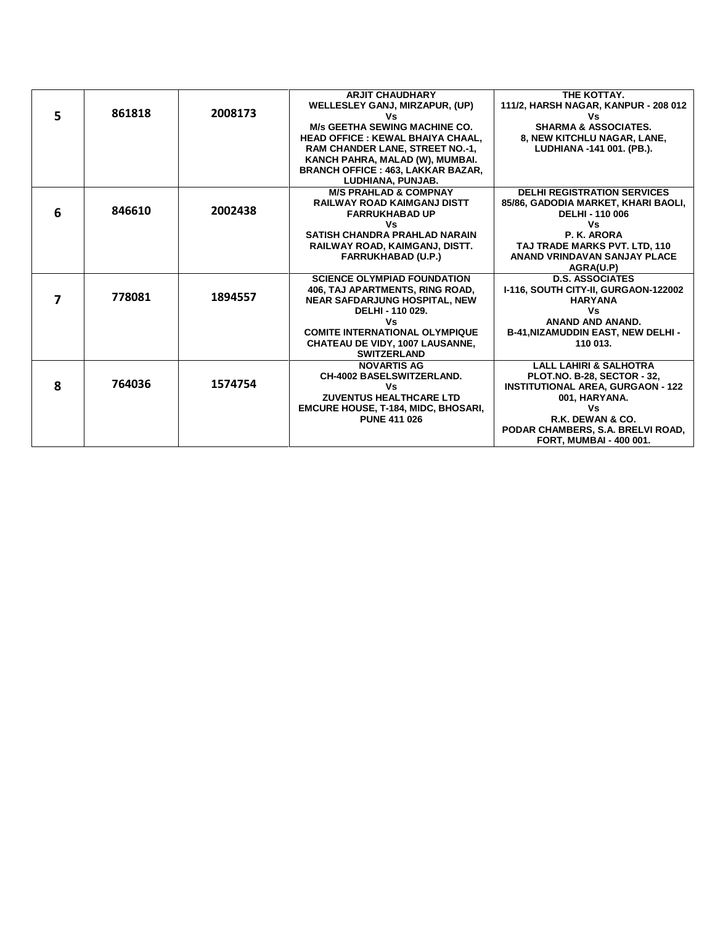|   |        |         | <b>ARJIT CHAUDHARY</b>                     | THE KOTTAY.                               |
|---|--------|---------|--------------------------------------------|-------------------------------------------|
|   |        |         | WELLESLEY GANJ, MIRZAPUR, (UP)             | 111/2, HARSH NAGAR, KANPUR - 208 012      |
| 5 | 861818 | 2008173 | Vs                                         | ٧s                                        |
|   |        |         | <b>M/s GEETHA SEWING MACHINE CO.</b>       | <b>SHARMA &amp; ASSOCIATES.</b>           |
|   |        |         | <b>HEAD OFFICE: KEWAL BHAIYA CHAAL.</b>    | 8, NEW KITCHLU NAGAR, LANE,               |
|   |        |         | RAM CHANDER LANE, STREET NO.-1,            | LUDHIANA -141 001. (PB.).                 |
|   |        |         | KANCH PAHRA, MALAD (W), MUMBAI.            |                                           |
|   |        |         | <b>BRANCH OFFICE : 463, LAKKAR BAZAR,</b>  |                                           |
|   |        |         | LUDHIANA, PUNJAB.                          |                                           |
|   |        |         | <b>M/S PRAHLAD &amp; COMPNAY</b>           | <b>DELHI REGISTRATION SERVICES</b>        |
|   |        |         | <b>RAILWAY ROAD KAIMGANJ DISTT</b>         | 85/86, GADODIA MARKET, KHARI BAOLI,       |
| 6 | 846610 | 2002438 | <b>FARRUKHABAD UP</b>                      | DELHI - 110 006                           |
|   |        |         | Vs                                         | ٧s                                        |
|   |        |         | <b>SATISH CHANDRA PRAHLAD NARAIN</b>       | P. K. ARORA                               |
|   |        |         | RAILWAY ROAD, KAIMGANJ, DISTT.             | TAJ TRADE MARKS PVT. LTD, 110             |
|   |        |         | <b>FARRUKHABAD (U.P.)</b>                  | ANAND VRINDAVAN SANJAY PLACE              |
|   |        |         |                                            | AGRA(U.P)                                 |
|   |        |         | <b>SCIENCE OLYMPIAD FOUNDATION</b>         | <b>D.S. ASSOCIATES</b>                    |
|   |        |         | 406, TAJ APARTMENTS, RING ROAD,            | I-116, SOUTH CITY-II, GURGAON-122002      |
|   | 778081 | 1894557 | <b>NEAR SAFDARJUNG HOSPITAL, NEW</b>       | <b>HARYANA</b>                            |
|   |        |         | DELHI - 110 029.                           | Vs                                        |
|   |        |         | Vs                                         | ANAND AND ANAND.                          |
|   |        |         | <b>COMITE INTERNATIONAL OLYMPIQUE</b>      | <b>B-41, NIZAMUDDIN EAST, NEW DELHI -</b> |
|   |        |         | <b>CHATEAU DE VIDY, 1007 LAUSANNE,</b>     | 110 013.                                  |
|   |        |         | <b>SWITZERLAND</b>                         |                                           |
|   |        |         | <b>NOVARTIS AG</b>                         | <b>LALL LAHIRI &amp; SALHOTRA</b>         |
|   |        |         | <b>CH-4002 BASELSWITZERLAND.</b>           | <b>PLOT.NO. B-28, SECTOR - 32,</b>        |
| 8 | 764036 | 1574754 | Vs                                         | <b>INSTITUTIONAL AREA, GURGAON - 122</b>  |
|   |        |         | <b>ZUVENTUS HEALTHCARE LTD</b>             | 001, HARYANA.                             |
|   |        |         | <b>EMCURE HOUSE, T-184, MIDC, BHOSARI,</b> | ٧s                                        |
|   |        |         | <b>PUNE 411 026</b>                        | R.K. DEWAN & CO.                          |
|   |        |         |                                            | PODAR CHAMBERS, S.A. BRELVI ROAD,         |
|   |        |         |                                            | <b>FORT, MUMBAI - 400 001.</b>            |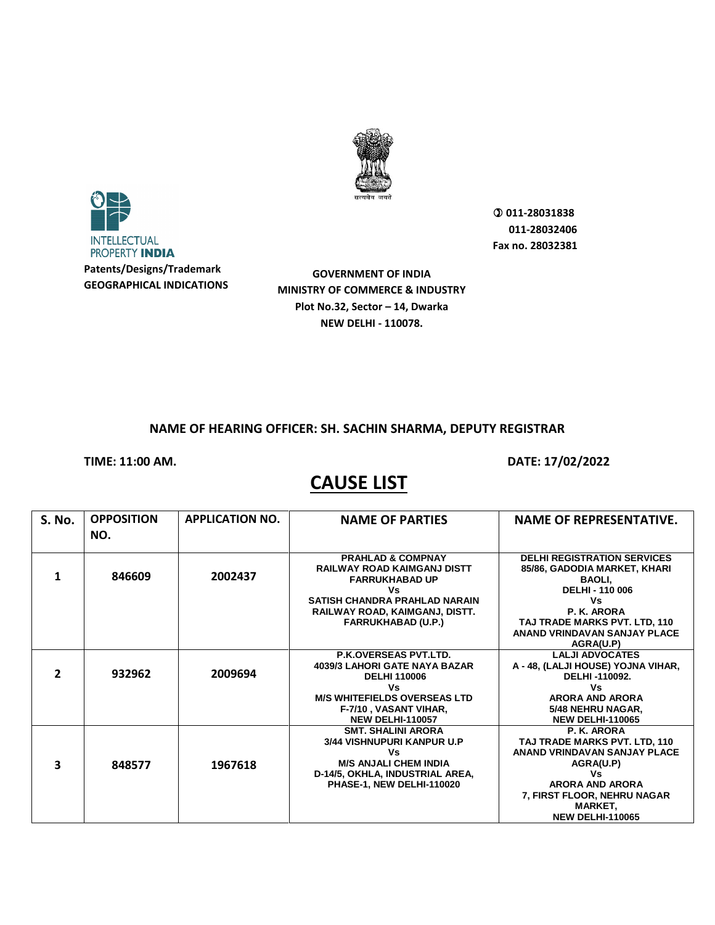



**Patents/Designs/Trademark GEOGRAPHICAL INDICATIONS**

**GOVERNMENT OF INDIA MINISTRY OF COMMERCE & INDUSTRY Plot No.32, Sector – 14, Dwarka NEW DELHI - 110078.**

 **011-28031838 011-28032406 Fax no. 28032381**

#### **NAME OF HEARING OFFICER: SH. SACHIN SHARMA, DEPUTY REGISTRAR**

**TIME: 11:00 AM. DATE: 17/02/2022** 

| S. No.       | <b>OPPOSITION</b> | <b>APPLICATION NO.</b> | <b>NAME OF PARTIES</b>                                                                                                                                                                                   | <b>NAME OF REPRESENTATIVE.</b>                                                                                                                                                                                          |
|--------------|-------------------|------------------------|----------------------------------------------------------------------------------------------------------------------------------------------------------------------------------------------------------|-------------------------------------------------------------------------------------------------------------------------------------------------------------------------------------------------------------------------|
|              | NO.               |                        |                                                                                                                                                                                                          |                                                                                                                                                                                                                         |
| 1            | 846609            | 2002437                | <b>PRAHLAD &amp; COMPNAY</b><br><b>RAILWAY ROAD KAIMGANJ DISTT</b><br><b>FARRUKHABAD UP</b><br>Vs<br><b>SATISH CHANDRA PRAHLAD NARAIN</b><br>RAILWAY ROAD, KAIMGANJ, DISTT.<br><b>FARRUKHABAD (U.P.)</b> | <b>DELHI REGISTRATION SERVICES</b><br>85/86, GADODIA MARKET, KHARI<br><b>BAOLI.</b><br><b>DELHI - 110 006</b><br>Vs<br>P. K. ARORA<br>TAJ TRADE MARKS PVT. LTD, 110<br><b>ANAND VRINDAVAN SANJAY PLACE</b><br>AGRA(U.P) |
| $\mathbf{z}$ | 932962            | 2009694                | <b>P.K.OVERSEAS PVT.LTD.</b><br><b>4039/3 LAHORI GATE NAYA BAZAR</b><br><b>DELHI 110006</b><br>Vs<br><b>M/S WHITEFIELDS OVERSEAS LTD</b><br>F-7/10, VASANT VIHAR,<br><b>NEW DELHI-110057</b>             | <b>LALJI ADVOCATES</b><br>A - 48, (LALJI HOUSE) YOJNA VIHAR,<br>DELHI-110092.<br>Vs<br><b>ARORA AND ARORA</b><br>5/48 NEHRU NAGAR,<br><b>NEW DELHI-110065</b>                                                           |
| 3            | 848577            | 1967618                | <b>SMT. SHALINI ARORA</b><br>3/44 VISHNUPURI KANPUR U.P<br>Vs<br><b>M/S ANJALI CHEM INDIA</b><br>D-14/5, OKHLA, INDUSTRIAL AREA,<br>PHASE-1, NEW DELHI-110020                                            | P. K. ARORA<br>TAJ TRADE MARKS PVT. LTD, 110<br>ANAND VRINDAVAN SANJAY PLACE<br>AGRA(U.P)<br>Vs<br><b>ARORA AND ARORA</b><br>7, FIRST FLOOR, NEHRU NAGAR<br><b>MARKET,</b><br><b>NEW DELHI-110065</b>                   |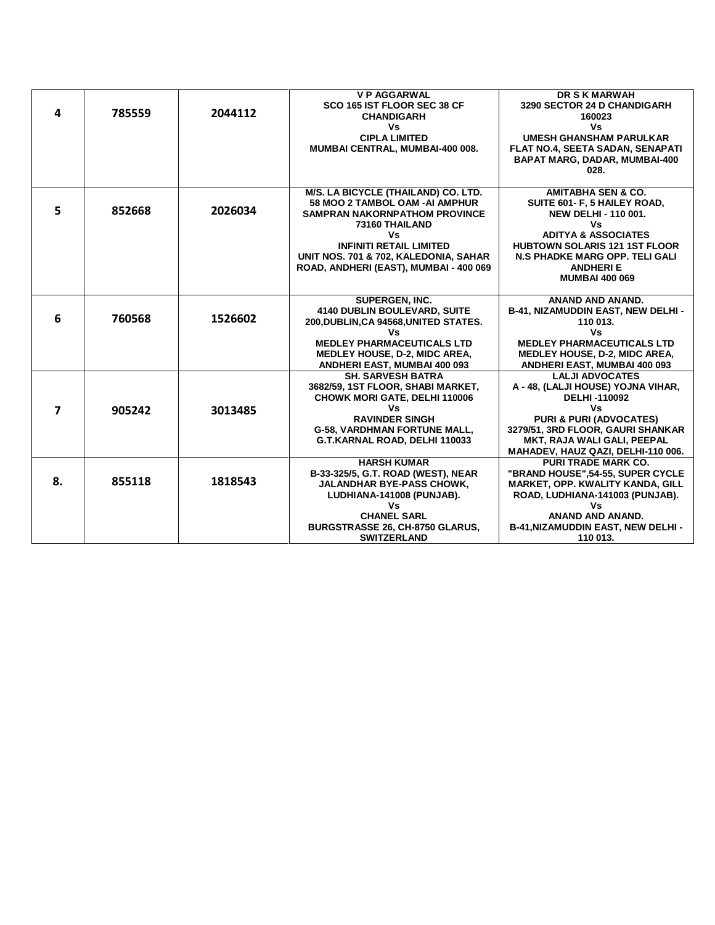| 4  | 785559 | 2044112 | <b>V P AGGARWAL</b><br>SCO 165 IST FLOOR SEC 38 CF<br><b>CHANDIGARH</b><br>Vs<br><b>CIPLA LIMITED</b><br>MUMBAI CENTRAL, MUMBAI-400 008.                                                                                                                   | <b>DR S K MARWAH</b><br>3290 SECTOR 24 D CHANDIGARH<br>160023<br>Vs<br><b>UMESH GHANSHAM PARULKAR</b><br><b>FLAT NO.4, SEETA SADAN, SENAPATI</b><br><b>BAPAT MARG, DADAR, MUMBAI-400</b><br>028.                                                                   |
|----|--------|---------|------------------------------------------------------------------------------------------------------------------------------------------------------------------------------------------------------------------------------------------------------------|--------------------------------------------------------------------------------------------------------------------------------------------------------------------------------------------------------------------------------------------------------------------|
| 5  | 852668 | 2026034 | M/S. LA BICYCLE (THAILAND) CO. LTD.<br>58 MOO 2 TAMBOL OAM -AI AMPHUR<br><b>SAMPRAN NAKORNPATHOM PROVINCE</b><br>73160 THAILAND<br>Vs<br><b>INFINITI RETAIL LIMITED</b><br>UNIT NOS. 701 & 702, KALEDONIA, SAHAR<br>ROAD, ANDHERI (EAST), MUMBAI - 400 069 | <b>AMITABHA SEN &amp; CO.</b><br>SUITE 601- F, 5 HAILEY ROAD,<br><b>NEW DELHI - 110 001.</b><br>٧s<br><b>ADITYA &amp; ASSOCIATES</b><br><b>HUBTOWN SOLARIS 121 1ST FLOOR</b><br><b>N.S PHADKE MARG OPP. TELI GALI</b><br><b>ANDHERI E</b><br><b>MUMBAI 400 069</b> |
| 6  | 760568 | 1526602 | <b>SUPERGEN, INC.</b><br>4140 DUBLIN BOULEVARD, SUITE<br>200, DUBLIN, CA 94568, UNITED STATES.<br>Vs<br><b>MEDLEY PHARMACEUTICALS LTD</b><br><b>MEDLEY HOUSE, D-2, MIDC AREA,</b><br>ANDHERI EAST, MUMBAI 400 093                                          | <b>ANAND AND ANAND.</b><br>B-41, NIZAMUDDIN EAST, NEW DELHI -<br>110 013.<br>Vs<br><b>MEDLEY PHARMACEUTICALS LTD</b><br><b>MEDLEY HOUSE, D-2, MIDC AREA,</b><br>ANDHERI EAST, MUMBAI 400 093                                                                       |
| 7  | 905242 | 3013485 | <b>SH. SARVESH BATRA</b><br>3682/59, 1ST FLOOR, SHABI MARKET,<br><b>CHOWK MORI GATE, DELHI 110006</b><br>Vs<br><b>RAVINDER SINGH</b><br><b>G-58, VARDHMAN FORTUNE MALL,</b><br>G.T.KARNAL ROAD, DELHI 110033                                               | <b>LALJI ADVOCATES</b><br>A - 48, (LALJI HOUSE) YOJNA VIHAR,<br><b>DELHI-110092</b><br>٧s<br><b>PURI &amp; PURI (ADVOCATES)</b><br>3279/51, 3RD FLOOR, GAURI SHANKAR<br>MKT, RAJA WALI GALI, PEEPAL<br>MAHADEV, HAUZ QAZI, DELHI-110 006.                          |
| 8. | 855118 | 1818543 | <b>HARSH KUMAR</b><br>B-33-325/5, G.T. ROAD (WEST), NEAR<br><b>JALANDHAR BYE-PASS CHOWK,</b><br>LUDHIANA-141008 (PUNJAB).<br>Vs<br><b>CHANEL SARL</b><br>BURGSTRASSE 26, CH-8750 GLARUS,<br><b>SWITZERLAND</b>                                             | <b>PURI TRADE MARK CO.</b><br>"BRAND HOUSE",54-55, SUPER CYCLE<br>MARKET, OPP. KWALITY KANDA, GILL<br>ROAD, LUDHIANA-141003 (PUNJAB).<br>Vs<br><b>ANAND AND ANAND.</b><br>B-41, NIZAMUDDIN EAST, NEW DELHI -<br>110 013.                                           |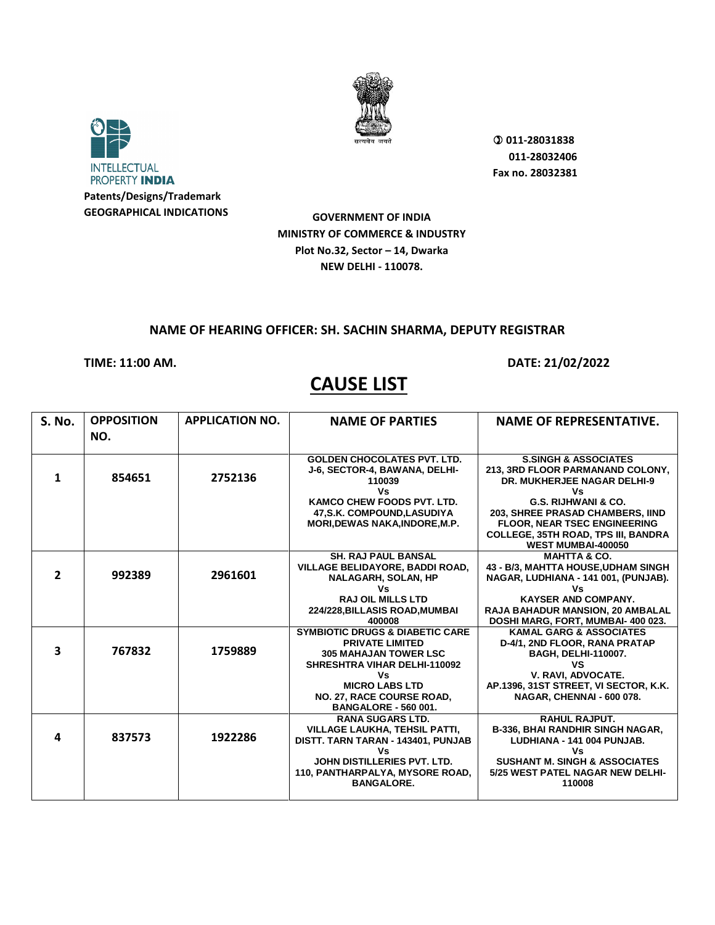



 **011-28031838 011-28032406 Fax no. 28032381**

**GOVERNMENT OF INDIA MINISTRY OF COMMERCE & INDUSTRY Plot No.32, Sector – 14, Dwarka NEW DELHI - 110078.**

### **NAME OF HEARING OFFICER: SH. SACHIN SHARMA, DEPUTY REGISTRAR**

**TIME: 11:00 AM. DATE: 21/02/2022** 

| <b>S. No.</b> | <b>OPPOSITION</b> | <b>APPLICATION NO.</b> | <b>NAME OF PARTIES</b>                                   | <b>NAME OF REPRESENTATIVE.</b>                            |
|---------------|-------------------|------------------------|----------------------------------------------------------|-----------------------------------------------------------|
|               | NO.               |                        |                                                          |                                                           |
|               |                   |                        | <b>GOLDEN CHOCOLATES PVT. LTD.</b>                       | <b>S.SINGH &amp; ASSOCIATES</b>                           |
|               |                   |                        | J-6, SECTOR-4, BAWANA, DELHI-                            | 213, 3RD FLOOR PARMANAND COLONY,                          |
| 1             | 854651            | 2752136                | 110039                                                   | <b>DR. MUKHERJEE NAGAR DELHI-9</b>                        |
|               |                   |                        | Vs                                                       | Vs                                                        |
|               |                   |                        | <b>KAMCO CHEW FOODS PVT. LTD.</b>                        | G.S. RIJHWANI & CO.                                       |
|               |                   |                        | 47, S.K. COMPOUND, LASUDIYA                              | 203, SHREE PRASAD CHAMBERS, IIND                          |
|               |                   |                        | <b>MORI, DEWAS NAKA, INDORE, M.P.</b>                    | <b>FLOOR, NEAR TSEC ENGINEERING</b>                       |
|               |                   |                        |                                                          | COLLEGE, 35TH ROAD, TPS III, BANDRA<br>WEST MUMBAI-400050 |
|               |                   |                        | <b>SH. RAJ PAUL BANSAL</b>                               | <b>MAHTTA &amp; CO.</b>                                   |
|               |                   |                        | VILLAGE BELIDAYORE, BADDI ROAD,                          | 43 - B/3, MAHTTA HOUSE, UDHAM SINGH                       |
| $\mathbf{2}$  | 992389            | 2961601                | <b>NALAGARH, SOLAN, HP</b>                               | NAGAR, LUDHIANA - 141 001, (PUNJAB).                      |
|               |                   |                        | Vs                                                       | Vs                                                        |
|               |                   |                        | <b>RAJ OIL MILLS LTD</b>                                 | <b>KAYSER AND COMPANY.</b>                                |
|               |                   |                        | 224/228, BILLASIS ROAD, MUMBAI                           | <b>RAJA BAHADUR MANSION, 20 AMBALAL</b>                   |
|               |                   |                        | 400008                                                   | DOSHI MARG, FORT, MUMBAI- 400 023.                        |
|               |                   |                        | <b>SYMBIOTIC DRUGS &amp; DIABETIC CARE</b>               | <b>KAMAL GARG &amp; ASSOCIATES</b>                        |
| 3             | 767832            | 1759889                | <b>PRIVATE LIMITED</b>                                   | D-4/1, 2ND FLOOR, RANA PRATAP                             |
|               |                   |                        | <b>305 MAHAJAN TOWER LSC</b>                             | <b>BAGH, DELHI-110007.</b>                                |
|               |                   |                        | <b>SHRESHTRA VIHAR DELHI-110092</b>                      | <b>VS</b>                                                 |
|               |                   |                        | Vs<br><b>MICRO LABS LTD</b>                              | V. RAVI. ADVOCATE.                                        |
|               |                   |                        |                                                          | AP.1396, 31ST STREET, VI SECTOR, K.K.                     |
|               |                   |                        | NO. 27, RACE COURSE ROAD,<br><b>BANGALORE - 560 001.</b> | NAGAR, CHENNAI - 600 078.                                 |
|               |                   |                        | <b>RANA SUGARS LTD.</b>                                  | <b>RAHUL RAJPUT.</b>                                      |
|               |                   |                        | <b>VILLAGE LAUKHA, TEHSIL PATTI,</b>                     | <b>B-336, BHAI RANDHIR SINGH NAGAR,</b>                   |
| 4             | 837573            | 1922286                | DISTT. TARN TARAN - 143401, PUNJAB                       | LUDHIANA - 141 004 PUNJAB.                                |
|               |                   |                        | Vs                                                       | Vs                                                        |
|               |                   |                        | JOHN DISTILLERIES PVT. LTD.                              | <b>SUSHANT M. SINGH &amp; ASSOCIATES</b>                  |
|               |                   |                        | 110, PANTHARPALYA, MYSORE ROAD,                          | 5/25 WEST PATEL NAGAR NEW DELHI-                          |
|               |                   |                        | <b>BANGALORE.</b>                                        | 110008                                                    |
|               |                   |                        |                                                          |                                                           |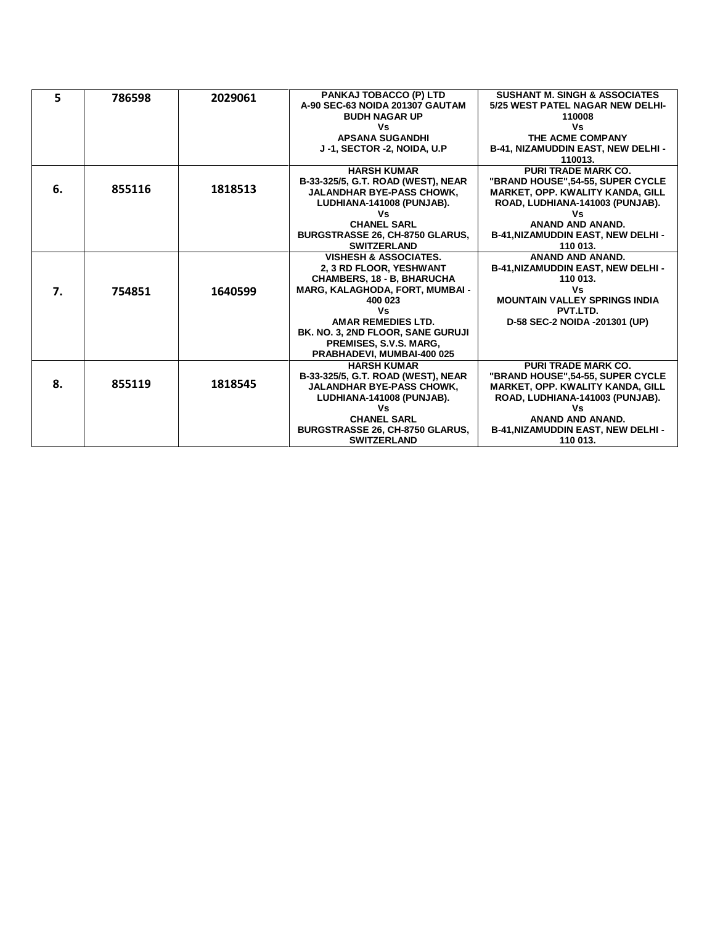| 5  | 786598 | 2029061 | <b>PANKAJ TOBACCO (P) LTD</b>          | <b>SUSHANT M. SINGH &amp; ASSOCIATES</b>  |
|----|--------|---------|----------------------------------------|-------------------------------------------|
|    |        |         | A-90 SEC-63 NOIDA 201307 GAUTAM        | 5/25 WEST PATEL NAGAR NEW DELHI-          |
|    |        |         | <b>BUDH NAGAR UP</b>                   | 110008                                    |
|    |        |         | Vs                                     | Vs                                        |
|    |        |         | <b>APSANA SUGANDHI</b>                 | THE ACME COMPANY                          |
|    |        |         | J-1, SECTOR -2, NOIDA, U.P.            | B-41, NIZAMUDDIN EAST, NEW DELHI -        |
|    |        |         |                                        | 110013.                                   |
|    |        |         | <b>HARSH KUMAR</b>                     | <b>PURI TRADE MARK CO.</b>                |
|    |        |         | B-33-325/5, G.T. ROAD (WEST), NEAR     | "BRAND HOUSE".54-55, SUPER CYCLE          |
| 6. | 855116 | 1818513 | <b>JALANDHAR BYE-PASS CHOWK,</b>       | <b>MARKET, OPP. KWALITY KANDA, GILL</b>   |
|    |        |         | LUDHIANA-141008 (PUNJAB).              | ROAD, LUDHIANA-141003 (PUNJAB).           |
|    |        |         | ٧s                                     | ٧s                                        |
|    |        |         | <b>CHANEL SARL</b>                     | ANAND AND ANAND.                          |
|    |        |         | <b>BURGSTRASSE 26, CH-8750 GLARUS,</b> | <b>B-41, NIZAMUDDIN EAST, NEW DELHI -</b> |
|    |        |         | <b>SWITZERLAND</b>                     | 110 013.                                  |
|    |        |         | <b>VISHESH &amp; ASSOCIATES.</b>       | ANAND AND ANAND.                          |
|    |        |         | 2, 3 RD FLOOR, YESHWANT                | <b>B-41, NIZAMUDDIN EAST, NEW DELHI -</b> |
|    |        |         | CHAMBERS, 18 - B, BHARUCHA             | 110 013.                                  |
| 7. | 754851 | 1640599 | <b>MARG, KALAGHODA, FORT, MUMBAI -</b> | Vs                                        |
|    |        |         | 400 023                                | <b>MOUNTAIN VALLEY SPRINGS INDIA</b>      |
|    |        |         | Vs                                     | PVT.LTD.                                  |
|    |        |         | <b>AMAR REMEDIES LTD.</b>              | D-58 SEC-2 NOIDA -201301 (UP)             |
|    |        |         | BK. NO. 3, 2ND FLOOR, SANE GURUJI      |                                           |
|    |        |         | <b>PREMISES, S.V.S. MARG,</b>          |                                           |
|    |        |         | PRABHADEVI, MUMBAI-400 025             |                                           |
|    |        |         | <b>HARSH KUMAR</b>                     | <b>PURI TRADE MARK CO.</b>                |
| 8. |        |         | B-33-325/5, G.T. ROAD (WEST), NEAR     | "BRAND HOUSE", 54-55, SUPER CYCLE         |
|    | 855119 | 1818545 | <b>JALANDHAR BYE-PASS CHOWK,</b>       | <b>MARKET, OPP. KWALITY KANDA, GILL</b>   |
|    |        |         | LUDHIANA-141008 (PUNJAB).              | ROAD, LUDHIANA-141003 (PUNJAB).           |
|    |        |         | Vs                                     | Vs                                        |
|    |        |         | <b>CHANEL SARL</b>                     | ANAND AND ANAND.                          |
|    |        |         | BURGSTRASSE 26, CH-8750 GLARUS,        | <b>B-41, NIZAMUDDIN EAST, NEW DELHI -</b> |
|    |        |         | <b>SWITZERLAND</b>                     | 110 013.                                  |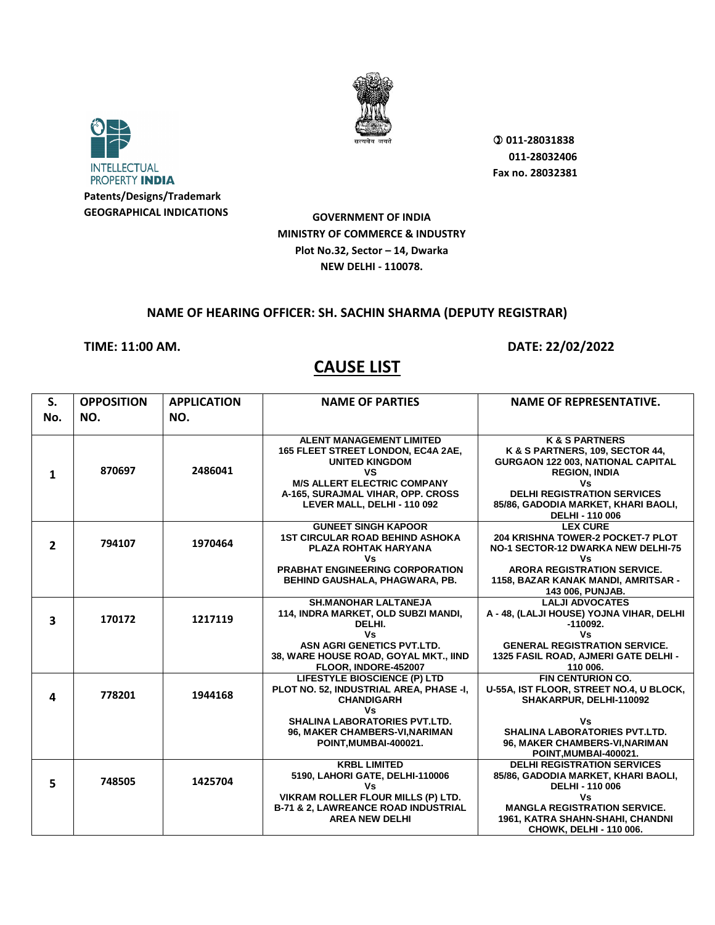



 **011-28031838 011-28032406 Fax no. 28032381**

**GOVERNMENT OF INDIA MINISTRY OF COMMERCE & INDUSTRY Plot No.32, Sector – 14, Dwarka NEW DELHI - 110078.**

#### **NAME OF HEARING OFFICER: SH. SACHIN SHARMA (DEPUTY REGISTRAR)**

#### **TIME: 11:00 AM. DATE: 22/02/2022**

| S.                      | <b>OPPOSITION</b> | <b>APPLICATION</b> | <b>NAME OF PARTIES</b>                                                                                                                     | <b>NAME OF REPRESENTATIVE.</b>                                                                                                         |
|-------------------------|-------------------|--------------------|--------------------------------------------------------------------------------------------------------------------------------------------|----------------------------------------------------------------------------------------------------------------------------------------|
| No.                     | NO.               | NO.                |                                                                                                                                            |                                                                                                                                        |
|                         |                   |                    |                                                                                                                                            |                                                                                                                                        |
| 1                       | 870697            | 2486041            | <b>ALENT MANAGEMENT LIMITED</b><br>165 FLEET STREET LONDON, EC4A 2AE,<br><b>UNITED KINGDOM</b><br>VS<br><b>M/S ALLERT ELECTRIC COMPANY</b> | <b>K &amp; S PARTNERS</b><br>K & S PARTNERS, 109, SECTOR 44,<br><b>GURGAON 122 003, NATIONAL CAPITAL</b><br><b>REGION, INDIA</b><br>Vs |
|                         |                   |                    | A-165, SURAJMAL VIHAR, OPP. CROSS<br>LEVER MALL, DELHI - 110 092                                                                           | <b>DELHI REGISTRATION SERVICES</b><br>85/86, GADODIA MARKET, KHARI BAOLI,<br><b>DELHI - 110 006</b>                                    |
|                         |                   |                    | <b>GUNEET SINGH KAPOOR</b>                                                                                                                 | <b>LEX CURE</b>                                                                                                                        |
| $\overline{2}$          | 794107            | 1970464            | <b>1ST CIRCULAR ROAD BEHIND ASHOKA</b><br>PLAZA ROHTAK HARYANA<br>٧s                                                                       | <b>204 KRISHNA TOWER-2 POCKET-7 PLOT</b><br>NO-1 SECTOR-12 DWARKA NEW DELHI-75<br>٧s                                                   |
|                         |                   |                    | <b>PRABHAT ENGINEERING CORPORATION</b><br>BEHIND GAUSHALA, PHAGWARA, PB.                                                                   | <b>ARORA REGISTRATION SERVICE.</b><br>1158, BAZAR KANAK MANDI, AMRITSAR -<br>143 006, PUNJAB.                                          |
| $\overline{\mathbf{3}}$ | 170172            | 1217119            | <b>SH.MANOHAR LALTANEJA</b><br>114, INDRA MARKET, OLD SUBZI MANDI,<br>DELHI.                                                               | <b>LALJI ADVOCATES</b><br>A - 48, (LALJI HOUSE) YOJNA VIHAR, DELHI<br>$-110092.$                                                       |
|                         |                   |                    | Vs<br>ASN AGRI GENETICS PVT.LTD.<br>38, WARE HOUSE ROAD, GOYAL MKT., IIND<br>FLOOR, INDORE-452007                                          | Vs<br><b>GENERAL REGISTRATION SERVICE.</b><br>1325 FASIL ROAD, AJMERI GATE DELHI -<br>110 006.                                         |
| 4                       | 778201            | 1944168            | LIFESTYLE BIOSCIENCE (P) LTD<br>PLOT NO. 52, INDUSTRIAL AREA, PHASE -I,<br><b>CHANDIGARH</b><br>Vs                                         | <b>FIN CENTURION CO.</b><br>U-55A, IST FLOOR, STREET NO.4, U BLOCK,<br>SHAKARPUR, DELHI-110092                                         |
|                         |                   |                    | <b>SHALINA LABORATORIES PVT.LTD.</b><br>96, MAKER CHAMBERS-VI, NARIMAN<br>POINT, MUMBAI-400021.                                            | ٧s<br><b>SHALINA LABORATORIES PVT.LTD.</b><br>96, MAKER CHAMBERS-VI, NARIMAN<br>POINT, MUMBAI-400021.                                  |
| 5                       | 748505            | 1425704            | <b>KRBL LIMITED</b><br>5190, LAHORI GATE, DELHI-110006<br>Vs<br>VIKRAM ROLLER FLOUR MILLS (P) LTD.                                         | <b>DELHI REGISTRATION SERVICES</b><br>85/86, GADODIA MARKET, KHARI BAOLI,<br><b>DELHI - 110 006</b><br>Vs                              |
|                         |                   |                    | <b>B-71 &amp; 2, LAWREANCE ROAD INDUSTRIAL</b><br><b>AREA NEW DELHI</b>                                                                    | <b>MANGLA REGISTRATION SERVICE.</b><br>1961, KATRA SHAHN-SHAHI, CHANDNI<br>CHOWK, DELHI - 110 006.                                     |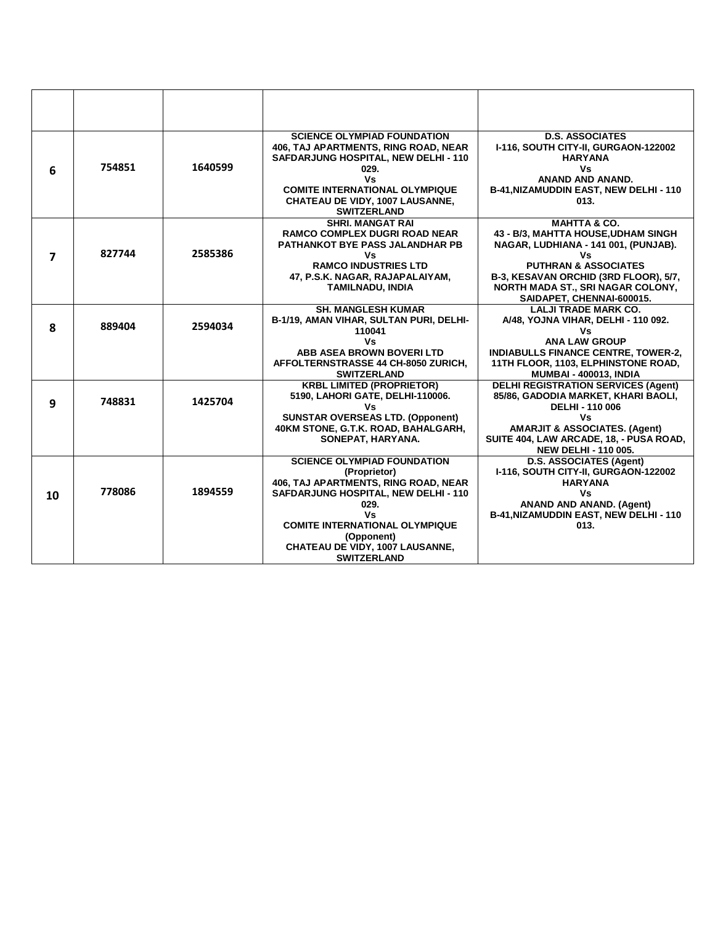| 6  | 754851 | 1640599 | <b>SCIENCE OLYMPIAD FOUNDATION</b><br>406, TAJ APARTMENTS, RING ROAD, NEAR<br>SAFDARJUNG HOSPITAL, NEW DELHI - 110<br>029.<br>Vs<br><b>COMITE INTERNATIONAL OLYMPIQUE</b><br><b>CHATEAU DE VIDY, 1007 LAUSANNE,</b><br><b>SWITZERLAND</b>                         | <b>D.S. ASSOCIATES</b><br>I-116, SOUTH CITY-II, GURGAON-122002<br><b>HARYANA</b><br>Vs<br>ANAND AND ANAND.<br>B-41, NIZAMUDDIN EAST, NEW DELHI - 110<br>013.                                                                                               |
|----|--------|---------|-------------------------------------------------------------------------------------------------------------------------------------------------------------------------------------------------------------------------------------------------------------------|------------------------------------------------------------------------------------------------------------------------------------------------------------------------------------------------------------------------------------------------------------|
| 7  | 827744 | 2585386 | <b>SHRI. MANGAT RAI</b><br><b>RAMCO COMPLEX DUGRI ROAD NEAR</b><br><b>PATHANKOT BYE PASS JALANDHAR PB</b><br>٧s<br><b>RAMCO INDUSTRIES LTD</b><br>47, P.S.K. NAGAR, RAJAPALAIYAM,<br><b>TAMILNADU, INDIA</b>                                                      | <b>MAHTTA &amp; CO.</b><br>43 - B/3, MAHTTA HOUSE, UDHAM SINGH<br>NAGAR, LUDHIANA - 141 001, (PUNJAB).<br>Vs<br><b>PUTHRAN &amp; ASSOCIATES</b><br>B-3, KESAVAN ORCHID (3RD FLOOR), 5/7,<br>NORTH MADA ST., SRI NAGAR COLONY,<br>SAIDAPET, CHENNAI-600015. |
| 8  | 889404 | 2594034 | <b>SH. MANGLESH KUMAR</b><br>B-1/19, AMAN VIHAR, SULTAN PURI, DELHI-<br>110041<br>Vs<br>ABB ASEA BROWN BOVERI LTD<br>AFFOLTERNSTRASSE 44 CH-8050 ZURICH,<br><b>SWITZERLAND</b>                                                                                    | <b>LALJI TRADE MARK CO.</b><br>A/48, YOJNA VIHAR, DELHI - 110 092.<br>Vs.<br><b>ANA LAW GROUP</b><br><b>INDIABULLS FINANCE CENTRE, TOWER-2,</b><br>11TH FLOOR, 1103, ELPHINSTONE ROAD,<br><b>MUMBAI - 400013, INDIA</b>                                    |
| 9  | 748831 | 1425704 | <b>KRBL LIMITED (PROPRIETOR)</b><br>5190, LAHORI GATE, DELHI-110006.<br>٧s<br><b>SUNSTAR OVERSEAS LTD. (Opponent)</b><br>40KM STONE, G.T.K. ROAD, BAHALGARH,<br>SONEPAT, HARYANA.                                                                                 | <b>DELHI REGISTRATION SERVICES (Agent)</b><br>85/86, GADODIA MARKET, KHARI BAOLI,<br><b>DELHI - 110 006</b><br>Vs<br><b>AMARJIT &amp; ASSOCIATES. (Agent)</b><br>SUITE 404, LAW ARCADE, 18, - PUSA ROAD,<br><b>NEW DELHI - 110 005.</b>                    |
| 10 | 778086 | 1894559 | <b>SCIENCE OLYMPIAD FOUNDATION</b><br>(Proprietor)<br>406, TAJ APARTMENTS, RING ROAD, NEAR<br>SAFDARJUNG HOSPITAL, NEW DELHI - 110<br>029.<br>Vs.<br><b>COMITE INTERNATIONAL OLYMPIQUE</b><br>(Opponent)<br>CHATEAU DE VIDY, 1007 LAUSANNE,<br><b>SWITZERLAND</b> | D.S. ASSOCIATES (Agent)<br>I-116, SOUTH CITY-II, GURGAON-122002<br><b>HARYANA</b><br>Vs<br><b>ANAND AND ANAND. (Agent)</b><br>B-41, NIZAMUDDIN EAST, NEW DELHI - 110<br>013.                                                                               |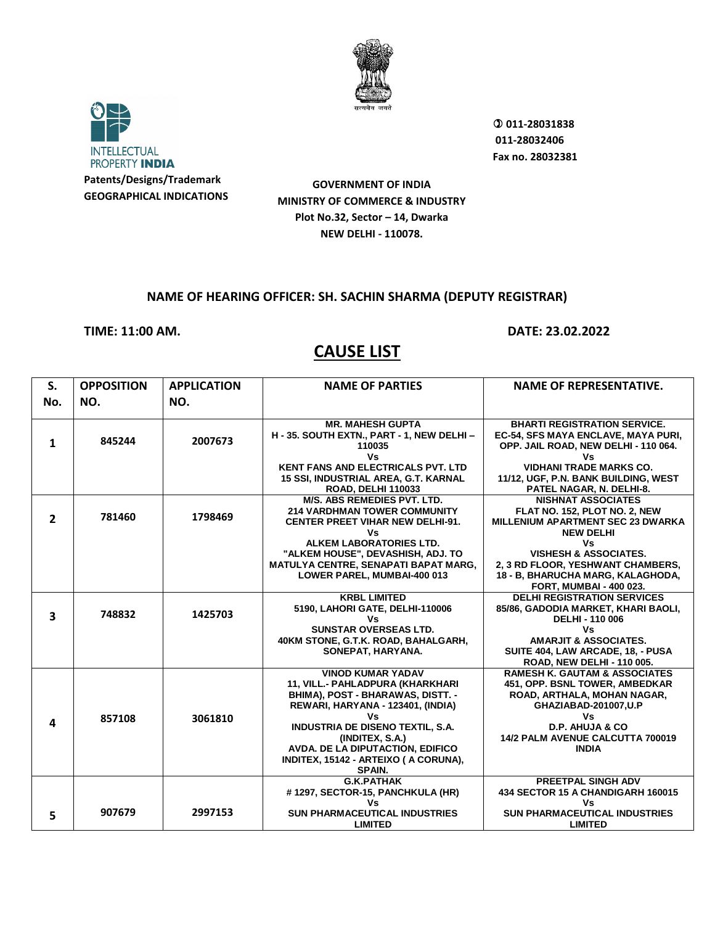



 **011-28031838 011-28032406 Fax no. 28032381**

**GOVERNMENT OF INDIA MINISTRY OF COMMERCE & INDUSTRY Plot No.32, Sector – 14, Dwarka NEW DELHI - 110078.**

#### **NAME OF HEARING OFFICER: SH. SACHIN SHARMA (DEPUTY REGISTRAR)**

**TIME: 11:00 AM. DATE: 23.02.2022**

| S.<br>No.               | <b>OPPOSITION</b><br>NO. | <b>APPLICATION</b><br>NO. | <b>NAME OF PARTIES</b>                                                                                                                                                                                                                                                                 | <b>NAME OF REPRESENTATIVE.</b>                                                                                                                                                                                   |
|-------------------------|--------------------------|---------------------------|----------------------------------------------------------------------------------------------------------------------------------------------------------------------------------------------------------------------------------------------------------------------------------------|------------------------------------------------------------------------------------------------------------------------------------------------------------------------------------------------------------------|
| $\mathbf{1}$            | 845244                   | 2007673                   | <b>MR. MAHESH GUPTA</b><br>H - 35. SOUTH EXTN., PART - 1, NEW DELHI -<br>110035<br>Vs                                                                                                                                                                                                  | <b>BHARTI REGISTRATION SERVICE.</b><br>EC-54, SFS MAYA ENCLAVE, MAYA PURI,<br>OPP. JAIL ROAD, NEW DELHI - 110 064.<br>٧s                                                                                         |
|                         |                          |                           | <b>KENT FANS AND ELECTRICALS PVT. LTD</b><br>15 SSI, INDUSTRIAL AREA, G.T. KARNAL<br><b>ROAD, DELHI 110033</b>                                                                                                                                                                         | <b>VIDHANI TRADE MARKS CO.</b><br>11/12, UGF, P.N. BANK BUILDING, WEST<br>PATEL NAGAR, N. DELHI-8.                                                                                                               |
| $\overline{2}$          | 781460                   | 1798469                   | <b>M/S. ABS REMEDIES PVT. LTD.</b><br><b>214 VARDHMAN TOWER COMMUNITY</b><br><b>CENTER PREET VIHAR NEW DELHI-91.</b><br>Vs                                                                                                                                                             | <b>NISHNAT ASSOCIATES</b><br>FLAT NO. 152, PLOT NO. 2, NEW<br><b>MILLENIUM APARTMENT SEC 23 DWARKA</b><br><b>NEW DELHI</b>                                                                                       |
|                         |                          |                           | ALKEM LABORATORIES LTD.<br>"ALKEM HOUSE", DEVASHISH, ADJ. TO<br>MATULYA CENTRE, SENAPATI BAPAT MARG,<br>LOWER PAREL, MUMBAI-400 013                                                                                                                                                    | ٧s<br><b>VISHESH &amp; ASSOCIATES.</b><br>2, 3 RD FLOOR, YESHWANT CHAMBERS,<br>18 - B, BHARUCHA MARG, KALAGHODA,<br><b>FORT, MUMBAI - 400 023.</b>                                                               |
| $\overline{\mathbf{3}}$ | 748832                   | 1425703                   | <b>KRBL LIMITED</b><br>5190, LAHORI GATE, DELHI-110006<br>Vs                                                                                                                                                                                                                           | <b>DELHI REGISTRATION SERVICES</b><br>85/86, GADODIA MARKET, KHARI BAOLI,<br><b>DELHI - 110 006</b>                                                                                                              |
|                         |                          |                           | <b>SUNSTAR OVERSEAS LTD.</b><br>40KM STONE, G.T.K. ROAD, BAHALGARH,<br>SONEPAT, HARYANA.                                                                                                                                                                                               | Vs<br><b>AMARJIT &amp; ASSOCIATES.</b><br>SUITE 404, LAW ARCADE, 18, - PUSA<br><b>ROAD. NEW DELHI - 110 005.</b>                                                                                                 |
| 4                       | 857108                   | 3061810                   | <b>VINOD KUMAR YADAV</b><br>11, VILL.- PAHLADPURA (KHARKHARI<br>BHIMA), POST - BHARAWAS, DISTT. -<br>REWARI, HARYANA - 123401, (INDIA)<br>Vs<br><b>INDUSTRIA DE DISENO TEXTIL, S.A.</b><br>(INDITEX, S.A.)<br>AVDA. DE LA DIPUTACTION, EDIFICO<br>INDITEX, 15142 - ARTEIXO (A CORUNA), | <b>RAMESH K. GAUTAM &amp; ASSOCIATES</b><br>451, OPP. BSNL TOWER, AMBEDKAR<br>ROAD, ARTHALA, MOHAN NAGAR,<br>GHAZIABAD-201007, U.P<br>Vs<br>D.P. AHUJA & CO.<br>14/2 PALM AVENUE CALCUTTA 700019<br><b>INDIA</b> |
|                         |                          |                           | <b>SPAIN.</b><br><b>G.K.PATHAK</b><br>#1297, SECTOR-15, PANCHKULA (HR)                                                                                                                                                                                                                 | PREETPAL SINGH ADV<br>434 SECTOR 15 A CHANDIGARH 160015                                                                                                                                                          |
| 5.                      | 907679                   | 2997153                   | Vs<br><b>SUN PHARMACEUTICAL INDUSTRIES</b><br><b>LIMITED</b>                                                                                                                                                                                                                           | Vs<br><b>SUN PHARMACEUTICAL INDUSTRIES</b><br><b>LIMITED</b>                                                                                                                                                     |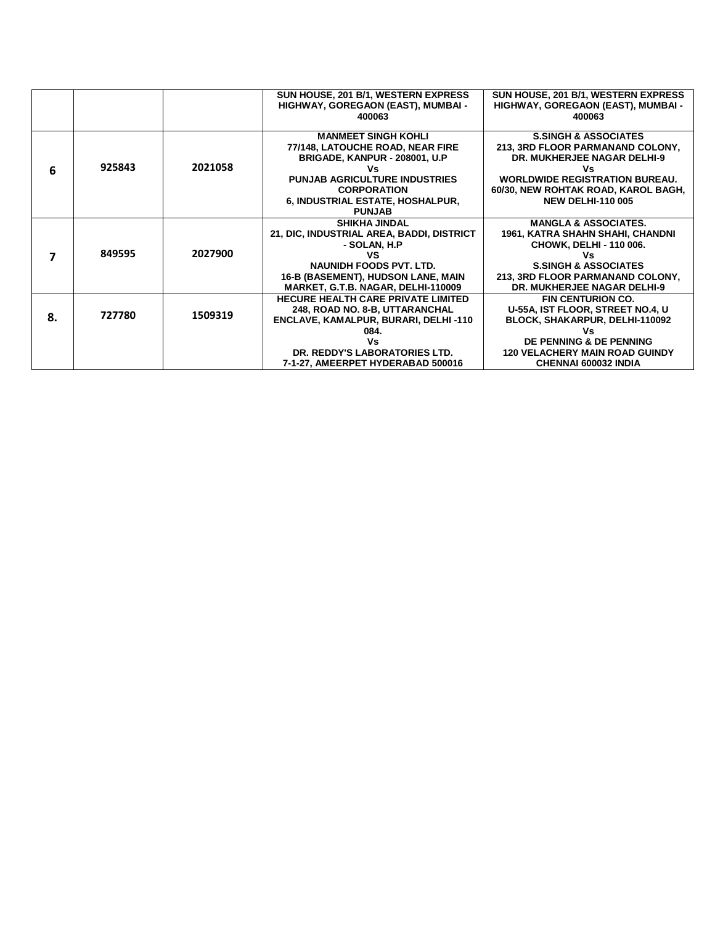|    |        |         | SUN HOUSE, 201 B/1, WESTERN EXPRESS       | SUN HOUSE, 201 B/1, WESTERN EXPRESS   |
|----|--------|---------|-------------------------------------------|---------------------------------------|
|    |        |         | HIGHWAY, GOREGAON (EAST), MUMBAI -        | HIGHWAY, GOREGAON (EAST), MUMBAI -    |
|    |        |         | 400063                                    | 400063                                |
|    |        |         |                                           |                                       |
|    |        |         | <b>MANMEET SINGH KOHLI</b>                | <b>S.SINGH &amp; ASSOCIATES</b>       |
|    |        |         | 77/148, LATOUCHE ROAD, NEAR FIRE          | 213, 3RD FLOOR PARMANAND COLONY,      |
|    |        |         | BRIGADE, KANPUR - 208001, U.P.            | <b>DR. MUKHERJEE NAGAR DELHI-9</b>    |
| 6  | 925843 | 2021058 |                                           | ٧s                                    |
|    |        |         | <b>PUNJAB AGRICULTURE INDUSTRIES</b>      | <b>WORLDWIDE REGISTRATION BUREAU.</b> |
|    |        |         | <b>CORPORATION</b>                        | 60/30, NEW ROHTAK ROAD, KAROL BAGH,   |
|    |        |         | 6, INDUSTRIAL ESTATE, HOSHALPUR,          | <b>NEW DELHI-110 005</b>              |
|    |        |         | <b>PUNJAB</b>                             |                                       |
|    |        |         | <b>SHIKHA JINDAL</b>                      | <b>MANGLA &amp; ASSOCIATES.</b>       |
|    |        |         | 21, DIC, INDUSTRIAL AREA, BADDI, DISTRICT | 1961, KATRA SHAHN SHAHI, CHANDNI      |
|    |        |         | - SOLAN, H.P                              | CHOWK, DELHI - 110 006.               |
| 7  | 849595 | 2027900 | ٧S                                        | Vs                                    |
|    |        |         | <b>NAUNIDH FOODS PVT. LTD.</b>            | <b>S.SINGH &amp; ASSOCIATES</b>       |
|    |        |         | 16-B (BASEMENT), HUDSON LANE, MAIN        | 213, 3RD FLOOR PARMANAND COLONY,      |
|    |        |         | MARKET, G.T.B. NAGAR, DELHI-110009        | <b>DR. MUKHERJEE NAGAR DELHI-9</b>    |
|    |        |         | <b>HECURE HEALTH CARE PRIVATE LIMITED</b> | <b>FIN CENTURION CO.</b>              |
|    | 727780 | 1509319 | 248, ROAD NO. 8-B, UTTARANCHAL            | U-55A, IST FLOOR, STREET NO.4, U      |
| 8. |        |         | ENCLAVE, KAMALPUR, BURARI, DELHI -110     | BLOCK, SHAKARPUR, DELHI-110092        |
|    |        |         | 084.                                      | Vs                                    |
|    |        |         | Vs                                        | DE PENNING & DE PENNING               |
|    |        |         | DR. REDDY'S LABORATORIES LTD.             | <b>120 VELACHERY MAIN ROAD GUINDY</b> |
|    |        |         | 7-1-27, AMEERPET HYDERABAD 500016         | <b>CHENNAI 600032 INDIA</b>           |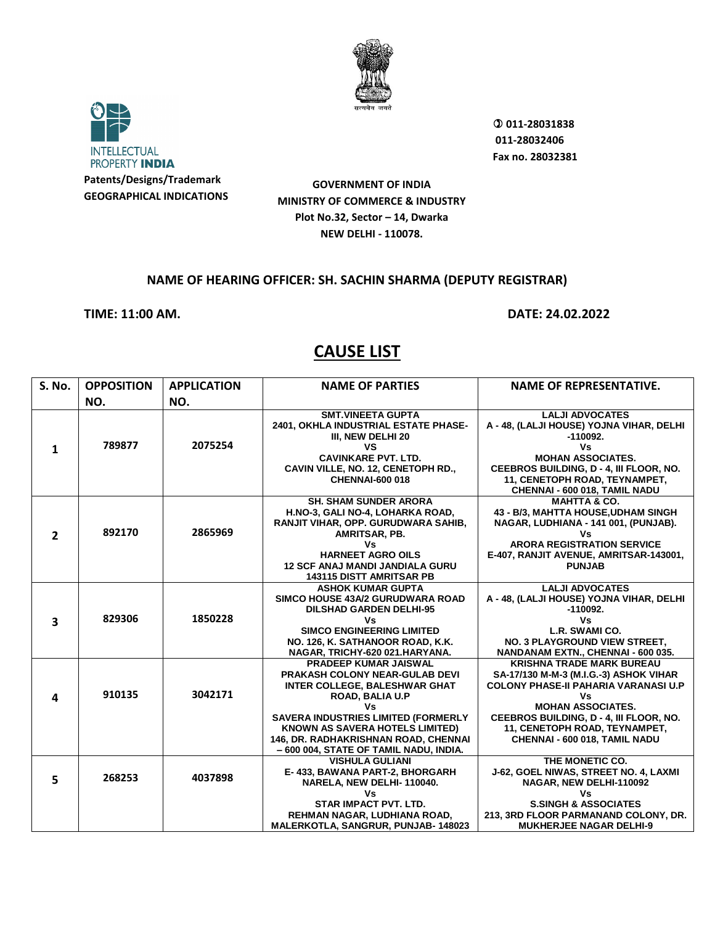



 **011-28031838 011-28032406 Fax no. 28032381**

**GOVERNMENT OF INDIA MINISTRY OF COMMERCE & INDUSTRY Plot No.32, Sector – 14, Dwarka NEW DELHI - 110078.**

#### **NAME OF HEARING OFFICER: SH. SACHIN SHARMA (DEPUTY REGISTRAR)**

**TIME: 11:00 AM. DATE: 24.02.2022**

| <b>S. No.</b>           | <b>OPPOSITION</b> | <b>APPLICATION</b> | <b>NAME OF PARTIES</b>                                                                                                                                                                                                                                                                                                  | <b>NAME OF REPRESENTATIVE.</b>                                                                                                                                                                                                                                           |
|-------------------------|-------------------|--------------------|-------------------------------------------------------------------------------------------------------------------------------------------------------------------------------------------------------------------------------------------------------------------------------------------------------------------------|--------------------------------------------------------------------------------------------------------------------------------------------------------------------------------------------------------------------------------------------------------------------------|
|                         | NO.               | NO.                |                                                                                                                                                                                                                                                                                                                         |                                                                                                                                                                                                                                                                          |
| $\mathbf{1}$            | 789877            | 2075254            | <b>SMT.VINEETA GUPTA</b><br>2401, OKHLA INDUSTRIAL ESTATE PHASE-<br>III, NEW DELHI 20<br>VS<br><b>CAVINKARE PVT. LTD.</b><br>CAVIN VILLE, NO. 12, CENETOPH RD.,<br><b>CHENNAI-600 018</b>                                                                                                                               | <b>LALJI ADVOCATES</b><br>A - 48, (LALJI HOUSE) YOJNA VIHAR, DELHI<br>$-110092.$<br>٧s<br><b>MOHAN ASSOCIATES.</b><br>CEEBROS BUILDING, D - 4, III FLOOR, NO.<br>11, CENETOPH ROAD, TEYNAMPET,<br>CHENNAI - 600 018, TAMIL NADU                                          |
| $\overline{2}$          | 892170            | 2865969            | <b>SH. SHAM SUNDER ARORA</b><br>H.NO-3, GALI NO-4, LOHARKA ROAD,<br>RANJIT VIHAR, OPP. GURUDWARA SAHIB,<br>AMRITSAR, PB.<br>Vs<br><b>HARNEET AGRO OILS</b><br><b>12 SCF ANAJ MANDI JANDIALA GURU</b><br><b>143115 DISTT AMRITSAR PB</b>                                                                                 | <b>MAHTTA &amp; CO.</b><br>43 - B/3, MAHTTA HOUSE, UDHAM SINGH<br>NAGAR, LUDHIANA - 141 001, (PUNJAB).<br>٧s<br><b>ARORA REGISTRATION SERVICE</b><br>E-407, RANJIT AVENUE, AMRITSAR-143001,<br><b>PUNJAB</b>                                                             |
| $\overline{\mathbf{3}}$ | 829306            | 1850228            | <b>ASHOK KUMAR GUPTA</b><br>SIMCO HOUSE 43A/2 GURUDWARA ROAD<br><b>DILSHAD GARDEN DELHI-95</b><br>Vs<br><b>SIMCO ENGINEERING LIMITED</b><br>NO. 126, K. SATHANOOR ROAD, K.K.<br>NAGAR, TRICHY-620 021.HARYANA.                                                                                                          | <b>LALJI ADVOCATES</b><br>A - 48, (LALJI HOUSE) YOJNA VIHAR, DELHI<br>$-110092.$<br>Vs<br>L.R. SWAMI CO.<br>NO. 3 PLAYGROUND VIEW STREET.<br>NANDANAM EXTN., CHENNAI - 600 035.                                                                                          |
| 4                       | 910135            | 3042171            | <b>PRADEEP KUMAR JAISWAL</b><br><b>PRAKASH COLONY NEAR-GULAB DEVI</b><br><b>INTER COLLEGE, BALESHWAR GHAT</b><br><b>ROAD, BALIA U.P</b><br>Vs<br><b>SAVERA INDUSTRIES LIMITED (FORMERLY</b><br><b>KNOWN AS SAVERA HOTELS LIMITED)</b><br>146, DR. RADHAKRISHNAN ROAD, CHENNAI<br>- 600 004, STATE OF TAMIL NADU, INDIA. | <b>KRISHNA TRADE MARK BUREAU</b><br>SA-17/130 M-M-3 (M.I.G.-3) ASHOK VIHAR<br><b>COLONY PHASE-II PAHARIA VARANASI U.P</b><br>٧s<br><b>MOHAN ASSOCIATES.</b><br>CEEBROS BUILDING, D - 4, III FLOOR, NO.<br>11, CENETOPH ROAD, TEYNAMPET,<br>CHENNAI - 600 018, TAMIL NADU |
| 5                       | 268253            | 4037898            | <b>VISHULA GULIANI</b><br>E-433, BAWANA PART-2, BHORGARH<br>NARELA, NEW DELHI-110040.<br>Vs<br><b>STAR IMPACT PVT. LTD.</b><br>REHMAN NAGAR, LUDHIANA ROAD,<br><b>MALERKOTLA, SANGRUR, PUNJAB-148023</b>                                                                                                                | THE MONETIC CO.<br>J-62, GOEL NIWAS, STREET NO. 4, LAXMI<br>NAGAR, NEW DELHI-110092<br>٧s<br><b>S.SINGH &amp; ASSOCIATES</b><br>213, 3RD FLOOR PARMANAND COLONY, DR.<br><b>MUKHERJEE NAGAR DELHI-9</b>                                                                   |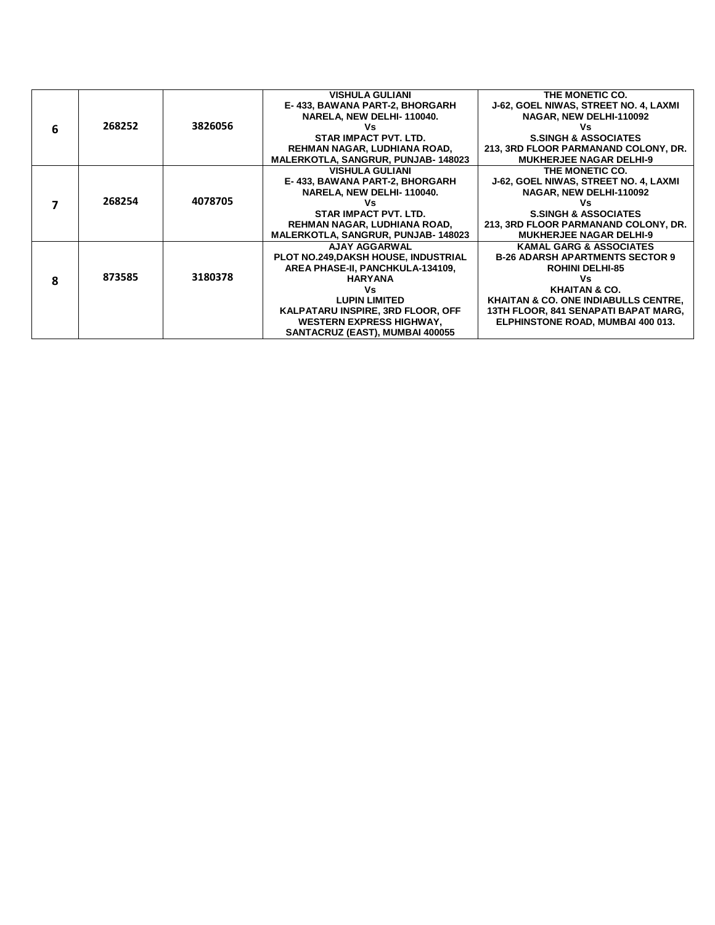|   |        |         | <b>VISHULA GULIANI</b>                      | THE MONETIC CO.                                 |
|---|--------|---------|---------------------------------------------|-------------------------------------------------|
|   |        |         | E-433, BAWANA PART-2, BHORGARH              | J-62, GOEL NIWAS, STREET NO. 4, LAXMI           |
|   |        |         | NARELA, NEW DELHI-110040.                   | NAGAR, NEW DELHI-110092                         |
| 6 | 268252 | 3826056 | ٧s                                          | ٧s                                              |
|   |        |         | <b>STAR IMPACT PVT. LTD.</b>                | <b>S.SINGH &amp; ASSOCIATES</b>                 |
|   |        |         | REHMAN NAGAR, LUDHIANA ROAD,                | 213, 3RD FLOOR PARMANAND COLONY, DR.            |
|   |        |         | MALERKOTLA, SANGRUR, PUNJAB-148023          | <b>MUKHERJEE NAGAR DELHI-9</b>                  |
|   |        |         | <b>VISHULA GULIANI</b>                      | THE MONETIC CO.                                 |
|   |        |         | E-433, BAWANA PART-2, BHORGARH              | J-62, GOEL NIWAS, STREET NO. 4, LAXMI           |
|   |        |         | NARELA, NEW DELHI-110040.                   | NAGAR, NEW DELHI-110092                         |
|   | 268254 | 4078705 | Vs                                          | Vs                                              |
|   |        |         | STAR IMPACT PVT. LTD.                       | <b>S.SINGH &amp; ASSOCIATES</b>                 |
|   |        |         | REHMAN NAGAR, LUDHIANA ROAD,                | 213, 3RD FLOOR PARMANAND COLONY, DR.            |
|   |        |         | <b>MALERKOTLA, SANGRUR, PUNJAB-148023</b>   | <b>MUKHERJEE NAGAR DELHI-9</b>                  |
|   |        |         | <b>AJAY AGGARWAL</b>                        | <b>KAMAL GARG &amp; ASSOCIATES</b>              |
|   |        |         | <b>PLOT NO.249, DAKSH HOUSE, INDUSTRIAL</b> | <b>B-26 ADARSH APARTMENTS SECTOR 9</b>          |
|   |        |         | AREA PHASE-II, PANCHKULA-134109,            | <b>ROHINI DELHI-85</b>                          |
| 8 | 873585 | 3180378 | <b>HARYANA</b>                              | ٧s                                              |
|   |        |         | Vs                                          | <b>KHAITAN &amp; CO.</b>                        |
|   |        |         | <b>LUPIN LIMITED</b>                        | <b>KHAITAN &amp; CO. ONE INDIABULLS CENTRE,</b> |
|   |        |         | KALPATARU INSPIRE, 3RD FLOOR, OFF           | 13TH FLOOR, 841 SENAPATI BAPAT MARG,            |
|   |        |         | <b>WESTERN EXPRESS HIGHWAY,</b>             | ELPHINSTONE ROAD, MUMBAI 400 013.               |
|   |        |         | SANTACRUZ (EAST), MUMBAI 400055             |                                                 |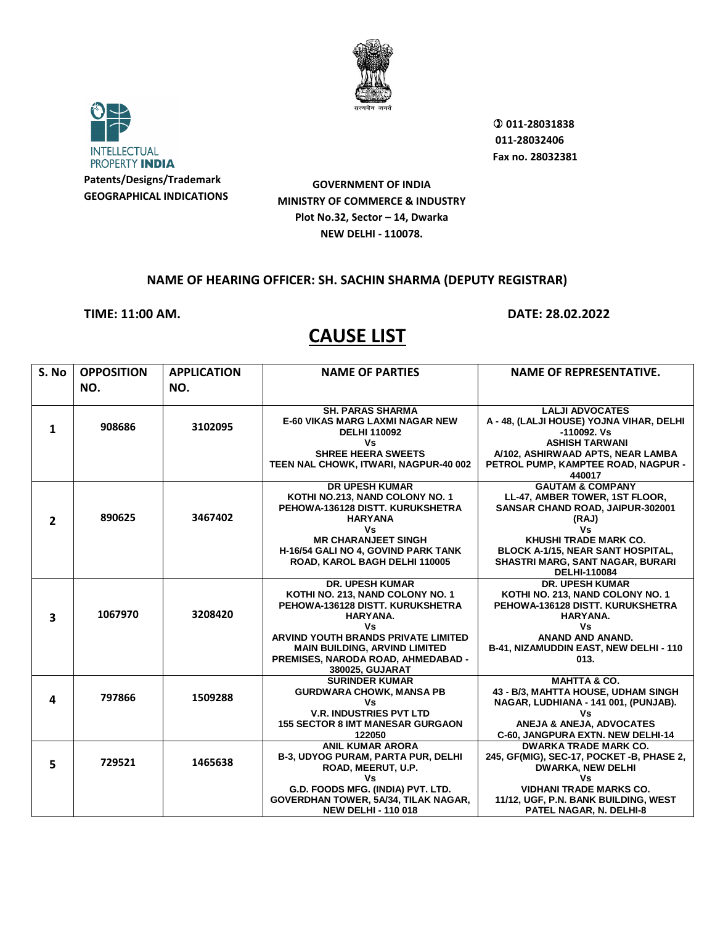



 **011-28031838 011-28032406 Fax no. 28032381**

**GOVERNMENT OF INDIA MINISTRY OF COMMERCE & INDUSTRY Plot No.32, Sector – 14, Dwarka NEW DELHI - 110078.**

#### **NAME OF HEARING OFFICER: SH. SACHIN SHARMA (DEPUTY REGISTRAR)**

#### **TIME: 11:00 AM. DATE: 28.02.2022**

| S. No          | <b>OPPOSITION</b> | <b>APPLICATION</b> | <b>NAME OF PARTIES</b>                            | <b>NAME OF REPRESENTATIVE.</b>                                    |
|----------------|-------------------|--------------------|---------------------------------------------------|-------------------------------------------------------------------|
|                | NO.               | NO.                |                                                   |                                                                   |
|                |                   |                    |                                                   |                                                                   |
|                |                   |                    | <b>SH. PARAS SHARMA</b>                           | <b>LALJI ADVOCATES</b>                                            |
| $\mathbf{1}$   | 908686            | 3102095            | <b>E-60 VIKAS MARG LAXMI NAGAR NEW</b>            | A - 48, (LALJI HOUSE) YOJNA VIHAR, DELHI                          |
|                |                   |                    | <b>DELHI 110092</b><br>Vs                         | -110092. Vs<br><b>ASHISH TARWANI</b>                              |
|                |                   |                    | <b>SHREE HEERA SWEETS</b>                         | A/102, ASHIRWAAD APTS, NEAR LAMBA                                 |
|                |                   |                    | TEEN NAL CHOWK, ITWARI, NAGPUR-40 002             | PETROL PUMP, KAMPTEE ROAD, NAGPUR -                               |
|                |                   |                    |                                                   | 440017                                                            |
|                |                   |                    | <b>DR UPESH KUMAR</b>                             | <b>GAUTAM &amp; COMPANY</b>                                       |
|                |                   |                    | KOTHI NO.213, NAND COLONY NO. 1                   | LL-47, AMBER TOWER, 1ST FLOOR,                                    |
|                | 890625            | 3467402            | PEHOWA-136128 DISTT, KURUKSHETRA                  | SANSAR CHAND ROAD, JAIPUR-302001                                  |
| $\overline{2}$ |                   |                    | <b>HARYANA</b><br>Vs                              | (RAJ)<br>Vs                                                       |
|                |                   |                    | <b>MR CHARANJEET SINGH</b>                        | <b>KHUSHI TRADE MARK CO.</b>                                      |
|                |                   |                    | H-16/54 GALI NO 4, GOVIND PARK TANK               | BLOCK A-1/15, NEAR SANT HOSPITAL,                                 |
|                |                   |                    | ROAD, KAROL BAGH DELHI 110005                     | SHASTRI MARG, SANT NAGAR, BURARI                                  |
|                |                   |                    |                                                   | <b>DELHI-110084</b>                                               |
|                |                   |                    | <b>DR. UPESH KUMAR</b>                            | <b>DR. UPESH KUMAR</b>                                            |
|                |                   |                    | KOTHI NO. 213, NAND COLONY NO. 1                  | KOTHI NO. 213, NAND COLONY NO. 1                                  |
|                |                   |                    | PEHOWA-136128 DISTT, KURUKSHETRA                  | PEHOWA-136128 DISTT, KURUKSHETRA                                  |
| 3              | 1067970           | 3208420            | HARYANA.                                          | HARYANA.                                                          |
|                |                   |                    | ٧s<br>ARVIND YOUTH BRANDS PRIVATE LIMITED         | Vs<br><b>ANAND AND ANAND.</b>                                     |
|                |                   |                    | <b>MAIN BUILDING, ARVIND LIMITED</b>              | B-41, NIZAMUDDIN EAST, NEW DELHI - 110                            |
|                |                   |                    | PREMISES, NARODA ROAD, AHMEDABAD -                | 013.                                                              |
|                |                   |                    | 380025, GUJARAT                                   |                                                                   |
|                |                   |                    | <b>SURINDER KUMAR</b>                             | <b>MAHTTA &amp; CO.</b>                                           |
| 4              | 797866            | 1509288            | <b>GURDWARA CHOWK, MANSA PB</b>                   | 43 - B/3, MAHTTA HOUSE, UDHAM SINGH                               |
|                |                   |                    | Vs                                                | NAGAR, LUDHIANA - 141 001, (PUNJAB).                              |
|                |                   |                    | <b>V.R. INDUSTRIES PVT LTD</b>                    | Vs                                                                |
|                |                   |                    | <b>155 SECTOR 8 IMT MANESAR GURGAON</b><br>122050 | ANEJA & ANEJA, ADVOCATES                                          |
|                |                   |                    | <b>ANIL KUMAR ARORA</b>                           | C-60, JANGPURA EXTN. NEW DELHI-14<br><b>DWARKA TRADE MARK CO.</b> |
|                |                   |                    | <b>B-3, UDYOG PURAM, PARTA PUR, DELHI</b>         | 245, GF(MIG), SEC-17, POCKET -B, PHASE 2,                         |
| 5              | 729521            | 1465638            | ROAD, MEERUT, U.P.                                | <b>DWARKA, NEW DELHI</b>                                          |
|                |                   |                    | Vs                                                | ٧s                                                                |
|                |                   |                    | G.D. FOODS MFG. (INDIA) PVT. LTD.                 | <b>VIDHANI TRADE MARKS CO.</b>                                    |
|                |                   |                    | GOVERDHAN TOWER, 5A/34, TILAK NAGAR,              | 11/12, UGF, P.N. BANK BUILDING, WEST                              |
|                |                   |                    | <b>NEW DELHI - 110 018</b>                        | <b>PATEL NAGAR, N. DELHI-8</b>                                    |